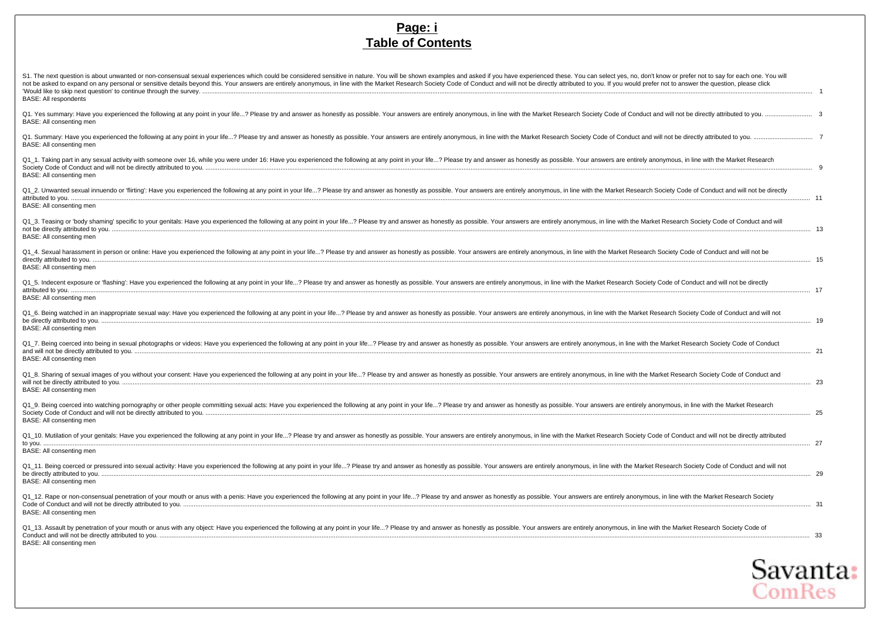#### **Page: i Table of Contents**

| S1. The next question is about unwanted or non-consensual sexual experiences which could be considered sensitive in nature. You will be shown examples and asked if you have experienced these. You can select yes, no, don't<br>not be asked to expand on any personal or sensitive details beyond this. Your answers are entirely anonymous, in line with the Market Research Society Code of Conduct and will not be directly attributed to you. If you woul<br><b>BASE: All respondents</b> |
|-------------------------------------------------------------------------------------------------------------------------------------------------------------------------------------------------------------------------------------------------------------------------------------------------------------------------------------------------------------------------------------------------------------------------------------------------------------------------------------------------|
| Q1. Yes summary: Have you experienced the following at any point in your life? Please try and answer as honestly as possible. Your answers are entirely anonymous, in line with the Market Research Society Code of Conduct<br>BASE: All consenting men                                                                                                                                                                                                                                         |
| Q1. Summary: Have you experienced the following at any point in your life? Please try and answer as honestly as possible. Your answers are entirely anonymous, in line with the Market Research Society Code of Conduct and<br>BASE: All consenting men                                                                                                                                                                                                                                         |
| Q1 1. Taking part in any sexual activity with someone over 16, while you were under 16: Have you experienced the following at any point in your life? Please try and answer as honestly as possible. Your answers are entir<br>BASE: All consenting men                                                                                                                                                                                                                                         |
| Q1 2. Unwanted sexual innuendo or 'flirting': Have you experienced the following at any point in your life? Please try and answer as honestly as possible. Your answers are entirely anonymous, in line with the Market Res<br>attributed to you. .                                                                                                                                                                                                                                             |
| BASE: All consenting men                                                                                                                                                                                                                                                                                                                                                                                                                                                                        |
| Q1 3. Teasing or 'body shaming' specific to your genitals: Have you experienced the following at any point in your life? Please try and answer as honestly as possible. Your answers are entirely anonymous, in line with t<br>not be directly attributed to you.<br>13<br>BASE: All consenting men                                                                                                                                                                                             |
| Q1 4. Sexual harassment in person or online: Have you experienced the following at any point in your life? Please try and answer as honestly as possible. Your answers are entirely anonymous, in line with the Market Rese<br>directly attributed to you.<br>- 15                                                                                                                                                                                                                              |
| BASE: All consenting men                                                                                                                                                                                                                                                                                                                                                                                                                                                                        |
| Q1_5. Indecent exposure or 'flashing': Have you experienced the following at any point in your life? Please try and answer as honestly as possible. Your answers are entirely anonymous, in line with the Market Research S<br>attributed to you.                                                                                                                                                                                                                                               |
| BASE: All consenting men                                                                                                                                                                                                                                                                                                                                                                                                                                                                        |
| Q1 6. Being watched in an inappropriate sexual way: Have you experienced the following at any point in your life? Please try and answer as honestly as possible. Your answers are entirely anonymous, in line with the Mark<br>be directly attributed to you.<br>е производите на селото на селото на селото на селото на селото на селото на селото на селото на 19<br>19<br>BASE: All consenting men                                                                                          |
| Q1 7. Being coerced into being in sexual photographs or videos: Have you experienced the following at any point in your life? Please try and answer as honestly as possible. Your answers are entirely anonymous, in line w<br>BASE: All consenting men                                                                                                                                                                                                                                         |
| Q1 8. Sharing of sexual images of you without your consent: Have you experienced the following at any point in your life? Please try and answer as honestly as possible. Your answers are entirely anonymous, in line with<br>BASE: All consenting men                                                                                                                                                                                                                                          |
| Q1_9. Being coerced into watching pornography or other people committing sexual acts: Have you experienced the following at any point in your life? Please try and answer as honestly as possible. Your answers are entirel<br>25                                                                                                                                                                                                                                                               |
| BASE: All consenting men<br>Q1 10. Mutilation of your genitals: Have you experienced the following at any point in your life? Please try and answer as honestly as possible. Your answers are entirely anonymous, in line with the Market Research Soci<br>to you.                                                                                                                                                                                                                              |
| BASE: All consenting men                                                                                                                                                                                                                                                                                                                                                                                                                                                                        |
| Q1_11. Being coerced or pressured into sexual activity: Have you experienced the following at any point in your life? Please try and answer as honestly as possible. Your answers are entirely anonymous, in line with the<br>be directly attributed to you.<br>$\ldots$ 29<br>BASE: All consenting men                                                                                                                                                                                         |
| Q1 12. Rape or non-consensual penetration of your mouth or anus with a penis: Have you experienced the following at any point in your life? Please try and answer as honestly as possible. Your answers are entirely anonym<br>BASE: All consenting men                                                                                                                                                                                                                                         |
| Q1 13. Assault by penetration of your mouth or anus with any object: Have you experienced the following at any point in your life? Please try and answer as honestly as possible. Your answers are entirely anonymous, in l<br>BASE: All consenting men                                                                                                                                                                                                                                         |
|                                                                                                                                                                                                                                                                                                                                                                                                                                                                                                 |

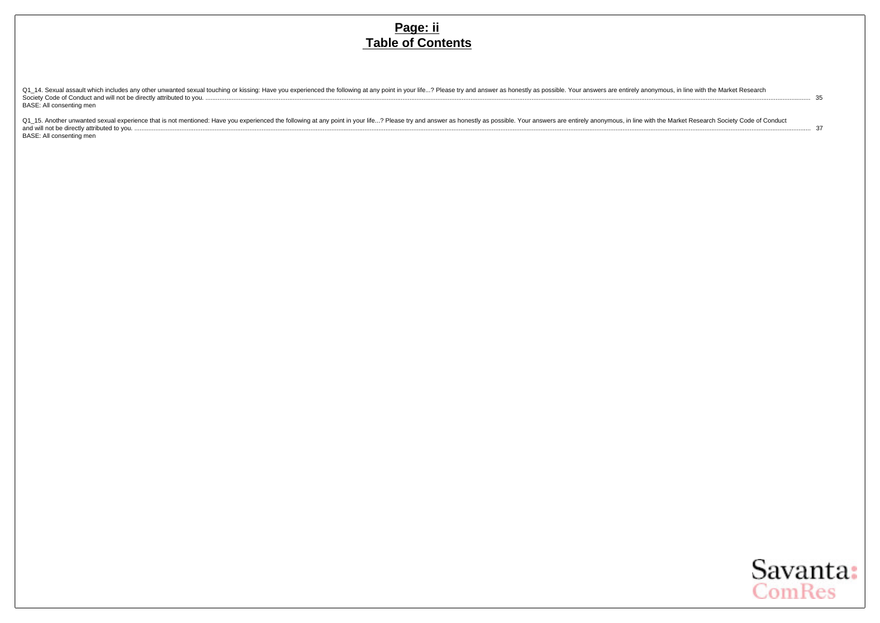#### **Page: ii Table of Contents**

| Q1_14. Sexual assault which includes any other unwanted sexual touching or kissing: Have you experienced the following at any point in your life? Please try and answer as honestly as possible. Your answers are entirely<br>BASE: All consenting men |  |
|--------------------------------------------------------------------------------------------------------------------------------------------------------------------------------------------------------------------------------------------------------|--|
| Q1 15. Another unwanted sexual experience that is not mentioned: Have you experienced the following at any point in your life? Please try and answer as honestly as possible. Your answers are entirely anonymous, in line<br>BASE: All consenting men |  |

Savanta:<br>ComRes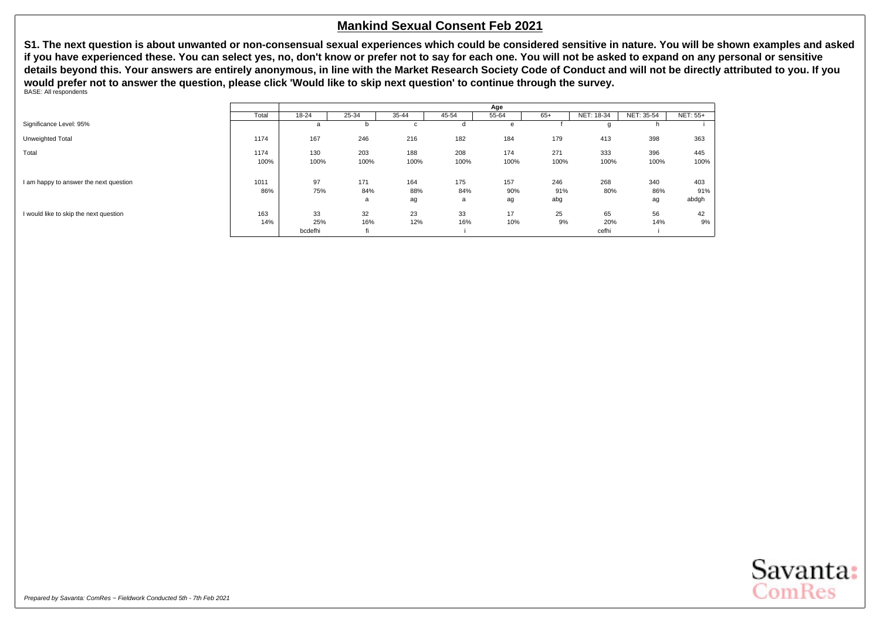<span id="page-2-0"></span>**S1. The next question is about unwanted or non-consensual sexual experiences which could be considered sensitive in nature. You will be shown examples and asked if you have experienced these. You can select yes, no, don't know or prefer not to say for each one. You will not be asked to expand on any personal or sensitive details beyond this. Your answers are entirely anonymous, in line with the Market Research Society Code of Conduct and will not be directly attributed to you. If you would prefer not to answer the question, please click 'Would like to skip next question' to continue through the survey.** BASE: All respondents

|                                        |       |         |       |       |       | Age   |      |            |            |          |
|----------------------------------------|-------|---------|-------|-------|-------|-------|------|------------|------------|----------|
|                                        | Total | 18-24   | 25-34 | 35-44 | 45-54 | 55-64 | 65+  | NET: 18-34 | NET: 35-54 | NET: 55+ |
| Significance Level: 95%                |       | a       |       | с     |       | e     |      |            |            |          |
| Unweighted Total                       | 1174  | 167     | 246   | 216   | 182   | 184   | 179  | 413        | 398        | 363      |
| Total                                  | 1174  | 130     | 203   | 188   | 208   | 174   | 271  | 333        | 396        | 445      |
|                                        | 100%  | 100%    | 100%  | 100%  | 100%  | 100%  | 100% | 100%       | 100%       | 100%     |
| I am happy to answer the next question | 1011  | 97      | 171   | 164   | 175   | 157   | 246  | 268        | 340        | 403      |
|                                        | 86%   | 75%     | 84%   | 88%   | 84%   | 90%   | 91%  | 80%        | 86%        | 91%      |
|                                        |       |         | a     | ag    | a     | ag    | abg  |            | ag         | abdgh    |
| I would like to skip the next question | 163   | 33      | 32    | 23    | 33    | 17    | 25   | 65         | 56         | 42       |
|                                        | 14%   | 25%     | 16%   | 12%   | 16%   | 10%   | 9%   | 20%        | 14%        | 9%       |
|                                        |       | bcdefhi | fi    |       |       |       |      | cefhi      |            |          |

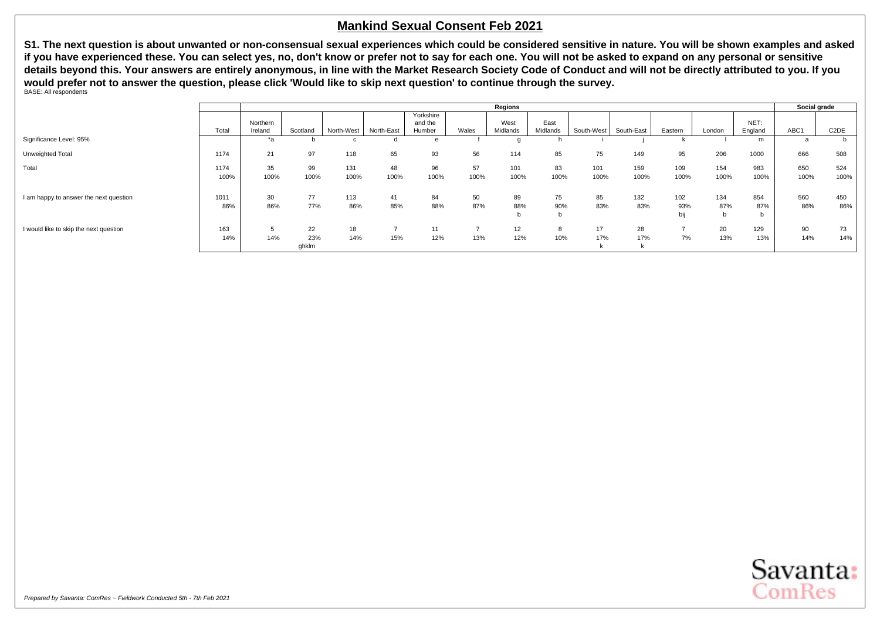**S1. The next question is about unwanted or non-consensual sexual experiences which could be considered sensitive in nature. You will be shown examples and asked if you have experienced these. You can select yes, no, don't know or prefer not to say for each one. You will not be asked to expand on any personal or sensitive details beyond this. Your answers are entirely anonymous, in line with the Market Research Society Code of Conduct and will not be directly attributed to you. If you would prefer not to answer the question, please click 'Would like to skip next question' to continue through the survey.** BASE: All respondents

|                                        |              |                     | Regions            |             |            |                                |            |                  |                          |             |             |                   |             |                 |             | Social grade      |
|----------------------------------------|--------------|---------------------|--------------------|-------------|------------|--------------------------------|------------|------------------|--------------------------|-------------|-------------|-------------------|-------------|-----------------|-------------|-------------------|
|                                        | Total        | Northern<br>Ireland | Scotland           | North-West  | North-East | Yorkshire<br>and the<br>Humber | Wales      | West<br>Midlands | East<br>Midlands         | South-West  | South-East  | Eastern           | London      | NET:<br>England | ABC1        | C <sub>2</sub> DE |
| Significance Level: 95%                |              | *a                  |                    |             |            | e                              |            |                  |                          |             |             |                   |             | m               | a           |                   |
| Unweighted Total                       | 1174         | 21                  | 97                 | 118         | 65         | 93                             | 56         | 114              | 85                       | 75          | 149         | 95                | 206         | 1000            | 666         | 508               |
| Total                                  | 1174<br>100% | 35<br>100%          | 99<br>100%         | 131<br>100% | 48<br>100% | 96<br>100%                     | 57<br>100% | 101<br>100%      | 83<br>100%               | 101<br>100% | 159<br>100% | 109<br>100%       | 154<br>100% | 983<br>100%     | 650<br>100% | 524<br>100%       |
| I am happy to answer the next question | 1011<br>86%  | 30<br>86%           | 77<br>77%          | 113<br>86%  | 41<br>85%  | 84<br>88%                      | 50<br>87%  | 89<br>88%        | 75<br>90%<br>$\mathbf b$ | 85<br>83%   | 132<br>83%  | 102<br>93%<br>bii | 134<br>87%  | 854<br>87%<br>b | 560<br>86%  | 450<br>86%        |
| I would like to skip the next question | 163<br>14%   | 14%                 | 22<br>23%<br>ghklm | 18<br>14%   | 15%        | 11<br>12%                      | 13%        | 12<br>12%        | 8<br>10%                 | 17<br>17%   | 28<br>17%   | 7%                | 20<br>13%   | 129<br>13%      | 90<br>14%   | 73<br>14%         |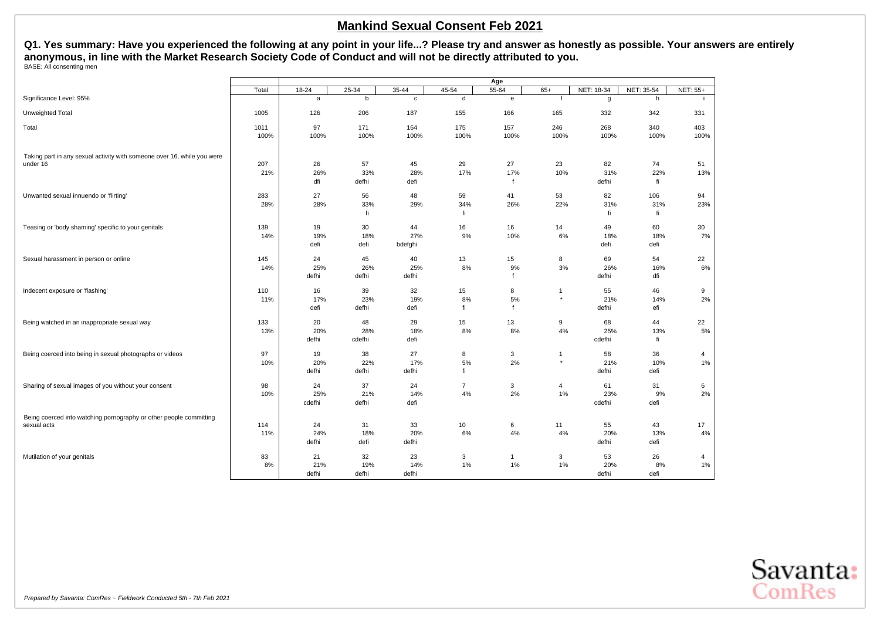<span id="page-4-0"></span>

|                                                                         |       |              |              |             |                | Age                                        |                |              |            |                 |
|-------------------------------------------------------------------------|-------|--------------|--------------|-------------|----------------|--------------------------------------------|----------------|--------------|------------|-----------------|
|                                                                         | Total | $18 - 24$    | $25 - 34$    | $35 - 44$   | 45-54          | $55 - 64$                                  | $65+$          | NET: 18-34   | NET: 35-54 | <b>NET: 55+</b> |
| Significance Level: 95%                                                 |       | $\mathsf{a}$ | $\mathbf b$  | $\mathbf c$ | d              | $\mathsf{e}% _{0}\left( \mathsf{e}\right)$ | f              | g            | h          |                 |
| Unweighted Total                                                        | 1005  | 126          | 206          | 187         | 155            | 166                                        | 165            | 332          | 342        | 331             |
| Total                                                                   | 1011  | 97           | 171          | 164         | 175            | 157                                        | 246            | 268          | 340        | 403             |
|                                                                         | 100%  | 100%         | 100%         | 100%        | 100%           | 100%                                       | 100%           | 100%         | 100%       | 100%            |
| Taking part in any sexual activity with someone over 16, while you were |       |              |              |             |                |                                            |                |              |            |                 |
| under 16                                                                | 207   | 26           | 57           | 45          | 29             | 27                                         | 23             | 82           | 74         | 51              |
|                                                                         | 21%   | 26%<br>dfi   | 33%<br>defhi | 28%<br>defi | 17%            | 17%                                        | 10%            | 31%<br>defhi | 22%<br>fi  | 13%             |
|                                                                         |       |              |              |             |                |                                            |                |              |            |                 |
| Unwanted sexual innuendo or 'flirting'                                  | 283   | 27           | 56           | 48          | 59             | 41                                         | 53             | 82           | 106        | 94              |
|                                                                         | 28%   | 28%          | 33%          | 29%         | 34%            | 26%                                        | 22%            | 31%          | 31%        | 23%             |
|                                                                         |       |              | fi           |             | fi             |                                            |                | fi           | fi         |                 |
| Teasing or 'body shaming' specific to your genitals                     | 139   | 19           | 30           | 44          | 16             | 16                                         | 14             | 49           | 60         | 30              |
|                                                                         | 14%   | 19%          | 18%          | 27%         | 9%             | 10%                                        | 6%             | 18%          | 18%        | 7%              |
|                                                                         |       | defi         | defi         | bdefghi     |                |                                            |                | defi         | defi       |                 |
| Sexual harassment in person or online                                   | 145   | 24           | 45           | 40          | 13             | 15                                         | 8              | 69           | 54         | 22              |
|                                                                         | 14%   | 25%          | 26%          | 25%         | 8%             | 9%                                         | 3%             | 26%          | 16%        | 6%              |
|                                                                         |       | defhi        | defhi        | defhi       |                | f                                          |                | defhi        | dfi        |                 |
| Indecent exposure or 'flashing'                                         | 110   | 16           | 39           | 32          | 15             | 8                                          | $\overline{1}$ | 55           | 46         | 9               |
|                                                                         | 11%   | 17%          | 23%          | 19%         | 8%             | 5%                                         | $^\star$       | 21%          | 14%        | 2%              |
|                                                                         |       | defi         | defhi        | defi        | fi             | f                                          |                | defhi        | efi        |                 |
| Being watched in an inappropriate sexual way                            | 133   | 20           | 48           | 29          | 15             | 13                                         | 9              | 68           | 44         | 22              |
|                                                                         | 13%   | 20%          | 28%          | 18%         | 8%             | 8%                                         | 4%             | 25%          | 13%        | 5%              |
|                                                                         |       | defhi        | cdefhi       | defi        |                |                                            |                | cdefhi       | fi         |                 |
| Being coerced into being in sexual photographs or videos                | 97    | 19           | 38           | 27          | 8              | 3                                          | $\mathbf{1}$   | 58           | 36         | 4               |
|                                                                         | 10%   | 20%          | 22%          | 17%         | 5%             | 2%                                         | $\star$        | 21%          | 10%        | 1%              |
|                                                                         |       | defhi        | defhi        | defhi       | fi             |                                            |                | defhi        | defi       |                 |
| Sharing of sexual images of you without your consent                    | 98    | 24           | 37           | 24          | $\overline{7}$ | 3                                          | $\overline{4}$ | 61           | 31         | 6               |
|                                                                         | 10%   | 25%          | 21%          | 14%         | 4%             | 2%                                         | 1%             | 23%          | 9%         | 2%              |
|                                                                         |       | cdefhi       | defhi        | defi        |                |                                            |                | cdefhi       | defi       |                 |
| Being coerced into watching pornography or other people committing      |       |              |              |             |                |                                            |                |              |            |                 |
| sexual acts                                                             | 114   | 24           | 31           | 33          | 10             | 6                                          | 11             | 55           | 43         | 17              |
|                                                                         | 11%   | 24%          | 18%          | 20%         | 6%             | 4%                                         | 4%             | 20%          | 13%        | 4%              |
|                                                                         |       | defhi        | defi         | defhi       |                |                                            |                | defhi        | defi       |                 |
| Mutilation of your genitals                                             | 83    | 21           | 32           | 23          | 3              | $\mathbf{1}$                               | 3              | 53           | 26         | 4               |
|                                                                         | 8%    | 21%          | 19%          | 14%         | 1%             | 1%                                         | 1%             | 20%          | 8%         | 1%              |
|                                                                         |       | defhi        | defhi        | defhi       |                |                                            |                | defhi        | defi       |                 |

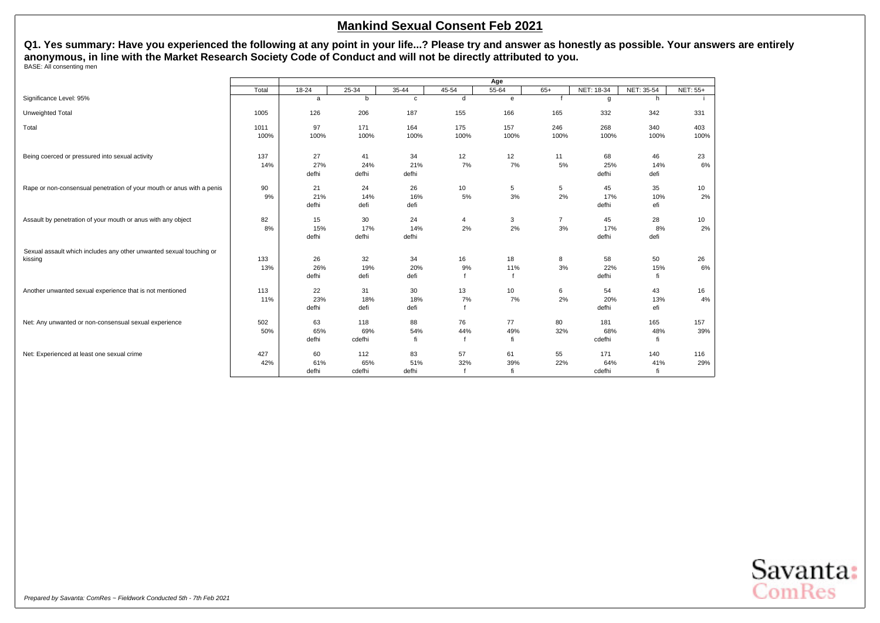|                                                                       |       | Age       |           |              |           |              |                |                   |            |                 |
|-----------------------------------------------------------------------|-------|-----------|-----------|--------------|-----------|--------------|----------------|-------------------|------------|-----------------|
|                                                                       | Total | $18 - 24$ | $25 - 34$ | $35 - 44$    | $45 - 54$ | $55 - 64$    | $65+$          | <b>NET: 18-34</b> | NET: 35-54 | <b>NET: 55+</b> |
| Significance Level: 95%                                               |       | a         | b         | $\mathbf{C}$ | d         | $\mathbf{e}$ |                | g                 | h          |                 |
| Unweighted Total                                                      | 1005  | 126       | 206       | 187          | 155       | 166          | 165            | 332               | 342        | 331             |
| Total                                                                 | 1011  | 97        | 171       | 164          | 175       | 157          | 246            | 268               | 340        | 403             |
|                                                                       | 100%  | 100%      | 100%      | 100%         | 100%      | 100%         | 100%           | 100%              | 100%       | 100%            |
| Being coerced or pressured into sexual activity                       | 137   | 27        | 41        | 34           | 12        | 12           | 11             | 68                | 46         | 23              |
|                                                                       | 14%   | 27%       | 24%       | 21%          | 7%        | 7%           | 5%             | 25%               | 14%        | 6%              |
|                                                                       |       | defhi     | defhi     | defhi        |           |              |                | defhi             | defi       |                 |
| Rape or non-consensual penetration of your mouth or anus with a penis | 90    | 21        | 24        | 26           | 10        | 5            | 5              | 45                | 35         | 10              |
|                                                                       | 9%    | 21%       | 14%       | 16%          | 5%        | 3%           | 2%             | 17%               | 10%        | 2%              |
|                                                                       |       | defhi     | defi      | defi         |           |              |                | defhi             | efi        |                 |
| Assault by penetration of your mouth or anus with any object          | 82    | 15        | 30        | 24           | 4         | 3            | $\overline{7}$ | 45                | 28         | 10              |
|                                                                       | 8%    | 15%       | 17%       | 14%          | 2%        | 2%           | 3%             | 17%               | 8%         | 2%              |
|                                                                       |       | defhi     | defhi     | defhi        |           |              |                | defhi             | defi       |                 |
| Sexual assault which includes any other unwanted sexual touching or   |       |           |           |              |           |              |                |                   |            |                 |
| kissing                                                               | 133   | 26        | 32        | 34           | 16        | 18           | 8              | 58                | 50         | 26              |
|                                                                       | 13%   | 26%       | 19%       | 20%          | 9%        | 11%          | 3%             | 22%               | 15%        | 6%              |
|                                                                       |       | defhi     | defi      | defi         |           |              |                | defhi             | fi         |                 |
| Another unwanted sexual experience that is not mentioned              | 113   | 22        | 31        | 30           | 13        | 10           | 6              | 54                | 43         | 16              |
|                                                                       | 11%   | 23%       | 18%       | 18%          | 7%        | 7%           | 2%             | 20%               | 13%        | 4%              |
|                                                                       |       | defhi     | defi      | defi         |           |              |                | defhi             | efi        |                 |
| Net: Any unwanted or non-consensual sexual experience                 | 502   | 63        | 118       | 88           | 76        | 77           | 80             | 181               | 165        | 157             |
|                                                                       | 50%   | 65%       | 69%       | 54%          | 44%       | 49%          | 32%            | 68%               | 48%        | 39%             |
|                                                                       |       | defhi     | cdefhi    | fi           |           | fi           |                | cdefhi            | fi         |                 |
| Net: Experienced at least one sexual crime                            | 427   | 60        | 112       | 83           | 57        | 61           | 55             | 171               | 140        | 116             |
|                                                                       | 42%   | 61%       | 65%       | 51%          | 32%       | 39%          | 22%            | 64%               | 41%        | 29%             |
|                                                                       |       | defhi     | cdefhi    | defhi        |           | fi           |                | cdefhi            | fi         |                 |

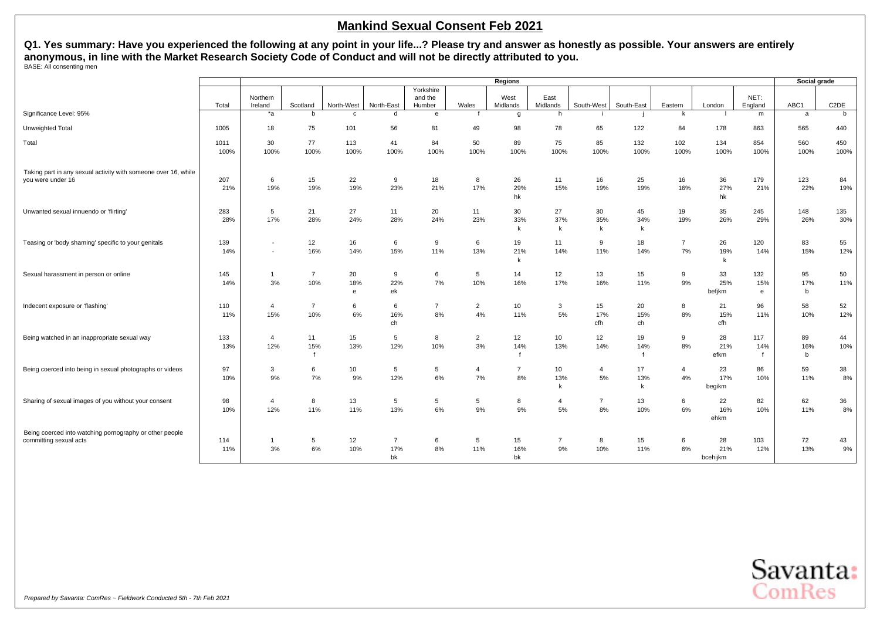|                                                                                     |              | Regions                                              |                       |                |                             |                      |                      |                           |                           |                           |                           |                         | Social grade          |                            |                           |                   |
|-------------------------------------------------------------------------------------|--------------|------------------------------------------------------|-----------------------|----------------|-----------------------------|----------------------|----------------------|---------------------------|---------------------------|---------------------------|---------------------------|-------------------------|-----------------------|----------------------------|---------------------------|-------------------|
|                                                                                     |              |                                                      |                       |                |                             | Yorkshire            |                      |                           | East                      |                           |                           |                         |                       |                            |                           |                   |
|                                                                                     | Total        | Northern<br>Ireland                                  | Scotland              | North-West     | North-East                  | and the<br>Humber    | Wales                | West<br>Midlands          | Midlands                  | South-West                | South-East                | Eastern                 | London                | NET:<br>England            | ABC1                      | C <sub>2</sub> DE |
| Significance Level: 95%                                                             |              | $*_{a}$                                              | h                     | $\mathbf{c}$   | $\mathsf{d}$                | $\mathbf{e}$         |                      | $\mathbf{g}$              | h                         |                           |                           | k                       |                       | m                          | a                         | b                 |
| Unweighted Total                                                                    | 1005         | 18                                                   | 75                    | 101            | 56                          | 81                   | 49                   | 98                        | 78                        | 65                        | 122                       | 84                      | 178                   | 863                        | 565                       | 440               |
| Total                                                                               | 1011<br>100% | 30<br>100%                                           | 77<br>100%            | 113<br>100%    | 41<br>100%                  | 84<br>100%           | 50<br>100%           | 89<br>100%                | 75<br>100%                | 85<br>100%                | 132<br>100%               | 102<br>100%             | 134<br>100%           | 854<br>100%                | 560<br>100%               | 450<br>100%       |
| Taking part in any sexual activity with someone over 16, while<br>you were under 16 | 207<br>21%   | 6<br>19%                                             | 15<br>19%             | 22<br>19%      | 9<br>23%                    | 18<br>21%            | 8<br>17%             | 26<br>29%<br>hk           | 11<br>15%                 | 16<br>19%                 | 25<br>19%                 | 16<br>16%               | 36<br>27%<br>hk       | 179<br>21%                 | 123<br>22%                | 84<br>19%         |
| Unwanted sexual innuendo or 'flirting'                                              | 283<br>28%   | 5<br>17%                                             | 21<br>28%             | 27<br>24%      | 11<br>28%                   | 20<br>24%            | 11<br>23%            | 30<br>33%<br>$\mathsf{k}$ | 27<br>37%<br>$\mathsf{k}$ | 30<br>35%<br>$\mathsf{k}$ | 45<br>34%<br>$\mathsf{k}$ | 19<br>19%               | 35<br>26%             | 245<br>29%                 | 148<br>26%                | 135<br>30%        |
| Teasing or 'body shaming' specific to your genitals                                 | 139<br>14%   | $\overline{\phantom{a}}$<br>$\overline{\phantom{a}}$ | 12<br>16%             | 16<br>14%      | 6<br>15%                    | 9<br>11%             | 6<br>13%             | 19<br>21%<br>$\mathsf{k}$ | 11<br>14%                 | 9<br>11%                  | 18<br>14%                 | $\overline{7}$<br>$7\%$ | 26<br>19%<br>k        | 120<br>14%                 | 83<br>15%                 | 55<br>12%         |
| Sexual harassment in person or online                                               | 145<br>14%   | $\mathbf{1}$<br>3%                                   | $\overline{7}$<br>10% | 20<br>18%<br>e | 9<br>22%<br>ek              | 6<br>7%              | 5<br>10%             | 14<br>16%                 | 12<br>17%                 | 13<br>16%                 | 15<br>11%                 | 9<br>9%                 | 33<br>25%<br>befjkm   | 132<br>15%<br>$\mathbf{e}$ | 95<br>17%<br>$\mathsf{b}$ | 50<br>11%         |
| Indecent exposure or 'flashing'                                                     | 110<br>11%   | $\overline{4}$<br>15%                                | $\overline{7}$<br>10% | 6<br>6%        | 6<br>16%<br>ch              | $\overline{7}$<br>8% | $\overline{2}$<br>4% | 10<br>11%                 | $\mathbf{3}$<br>$5\%$     | 15<br>17%<br>cfh          | 20<br>15%<br>ch           | 8<br>8%                 | 21<br>15%<br>cfh      | 96<br>11%                  | 58<br>10%                 | 52<br>12%         |
| Being watched in an inappropriate sexual way                                        | 133<br>13%   | $\overline{4}$<br>12%                                | 11<br>15%             | 15<br>13%      | 5<br>12%                    | 8<br>10%             | $\overline{2}$<br>3% | 12<br>14%                 | 10<br>13%                 | 12<br>14%                 | 19<br>14%                 | 9<br>8%                 | 28<br>21%<br>efkm     | 117<br>14%                 | 89<br>16%<br>$\mathsf{b}$ | 44<br>10%         |
| Being coerced into being in sexual photographs or videos                            | 97<br>10%    | $\overline{3}$<br>9%                                 | 6<br>7%               | 10<br>9%       | 5<br>12%                    | 5<br>6%              | $\overline{a}$<br>7% | $\overline{7}$<br>8%      | 10<br>13%<br>$\mathsf k$  | $\overline{4}$<br>5%      | 17<br>13%<br>k            | $\overline{4}$<br>4%    | 23<br>17%<br>begikm   | 86<br>10%                  | 59<br>11%                 | 38<br>8%          |
| Sharing of sexual images of you without your consent                                | 98<br>10%    | $\overline{4}$<br>12%                                | 8<br>11%              | 13<br>11%      | 5<br>13%                    | 5<br>6%              | 5<br>9%              | 8<br>9%                   | $\overline{4}$<br>5%      | $\overline{7}$<br>8%      | 13<br>10%                 | 6<br>6%                 | 22<br>16%<br>ehkm     | 82<br>10%                  | 62<br>11%                 | 36<br>8%          |
| Being coerced into watching pornography or other people<br>committing sexual acts   | 114<br>11%   | $\mathbf{1}$<br>3%                                   | 5<br>6%               | 12<br>10%      | $\overline{7}$<br>17%<br>bk | 6<br>8%              | 5<br>11%             | 15<br>16%<br>bk           | $\overline{7}$<br>9%      | 8<br>10%                  | 15<br>11%                 | 6<br>6%                 | 28<br>21%<br>bcehijkm | 103<br>12%                 | 72<br>13%                 | 43<br>9%          |

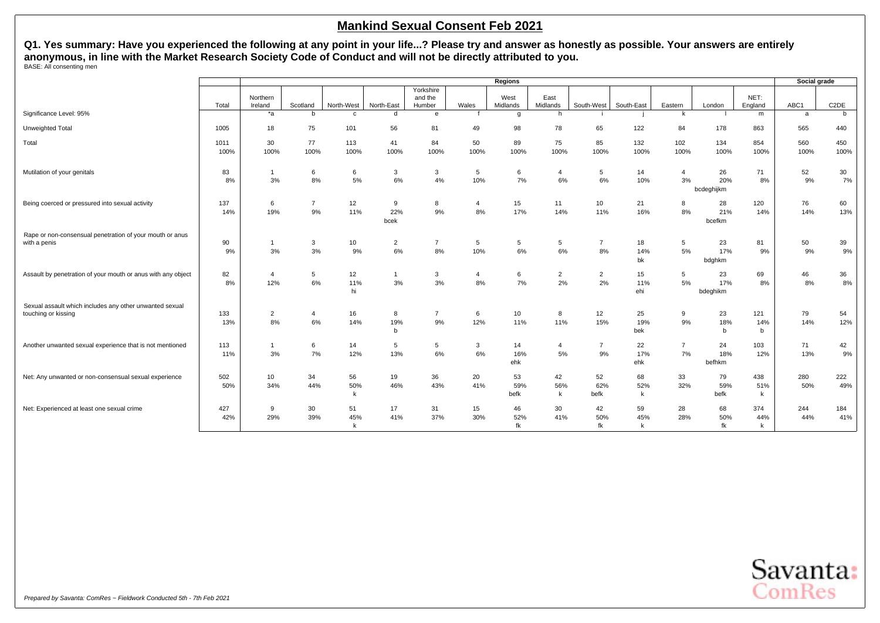|                                                              |       | Regions         |                |                            |                 |                      |                |                            |                |                 | Social grade |                |            |              |           |                        |
|--------------------------------------------------------------|-------|-----------------|----------------|----------------------------|-----------------|----------------------|----------------|----------------------------|----------------|-----------------|--------------|----------------|------------|--------------|-----------|------------------------|
|                                                              |       | Northern        |                |                            |                 | Yorkshire<br>and the |                | West                       | East           |                 |              |                |            | NET:         |           |                        |
| Significance Level: 95%                                      | Total | Ireland<br>$*a$ | Scotland<br>h  | North-West<br>$\mathbf{c}$ | North-East<br>d | Humber<br>$\epsilon$ | Wales          | Midlands<br>$\mathfrak{g}$ | Midlands<br>h  | South-West      | South-East   | Eastern<br>k   | London     | England<br>m | ABC1<br>a | C <sub>2</sub> DE<br>h |
|                                                              |       |                 |                |                            |                 |                      |                |                            |                |                 |              |                |            |              |           |                        |
| Unweighted Total                                             | 1005  | 18              | 75             | 101                        | 56              | 81                   | 49             | 98                         | 78             | 65              | 122          | 84             | 178        | 863          | 565       | 440                    |
| Total                                                        | 1011  | 30              | 77             | 113                        | 41              | 84                   | 50             | 89                         | 75             | 85              | 132          | 102            | 134        | 854          | 560       | 450                    |
|                                                              | 100%  | 100%            | 100%           | 100%                       | 100%            | 100%                 | 100%           | 100%                       | 100%           | 100%            | 100%         | 100%           | 100%       | 100%         | 100%      | 100%                   |
| Mutilation of your genitals                                  | 83    | $\overline{1}$  | 6              | 6                          | 3               | 3                    | 5              | 6                          | $\overline{4}$ | 5               | 14           | $\overline{a}$ | 26         | 71           | 52        | 30                     |
|                                                              | 8%    | 3%              | 8%             | 5%                         | 6%              | 4%                   | 10%            | 7%                         | 6%             | 6%              | 10%          | 3%             | 20%        | 8%           | 9%        | 7%                     |
|                                                              |       |                 |                |                            |                 |                      |                |                            |                |                 |              |                | bcdeghijkm |              |           |                        |
| Being coerced or pressured into sexual activity              | 137   | 6               | $\overline{7}$ | 12                         | 9               | 8                    | 4              | 15                         | 11             | 10 <sup>1</sup> | 21           | 8              | 28         | 120          | 76        | 60                     |
|                                                              | 14%   | 19%             | 9%             | 11%                        | 22%             | 9%                   | 8%             | 17%                        | 14%            | 11%             | 16%          | 8%             | 21%        | 14%          | 14%       | 13%                    |
|                                                              |       |                 |                |                            | bcek            |                      |                |                            |                |                 |              |                | bcefkm     |              |           |                        |
| Rape or non-consensual penetration of your mouth or anus     |       |                 |                |                            |                 |                      |                |                            |                |                 |              |                |            |              |           |                        |
| with a penis                                                 | 90    | $\overline{1}$  | 3              | 10                         | $\overline{2}$  | $\overline{7}$       | 5              | 5                          | 5              | $\overline{7}$  | 18           | 5              | 23         | 81           | 50        | 39                     |
|                                                              | 9%    | 3%              | 3%             | 9%                         | 6%              | 8%                   | 10%            | 6%                         | 6%             | 8%              | 14%          | 5%             | 17%        | 9%           | 9%        | 9%                     |
|                                                              |       |                 |                |                            |                 |                      |                |                            |                |                 | bk           |                | bdghkm     |              |           |                        |
| Assault by penetration of your mouth or anus with any object | 82    | $\Delta$        | 5              | 12                         | $\overline{1}$  | 3                    | $\overline{4}$ | 6                          | $\overline{2}$ | $\overline{2}$  | 15           | 5              | 23         | 69           | 46        | 36                     |
|                                                              | 8%    | 12%             | 6%             | 11%                        | 3%              | 3%                   | 8%             | 7%                         | 2%             | 2%              | 11%          | 5%             | 17%        | 8%           | 8%        | 8%                     |
|                                                              |       |                 |                | hi                         |                 |                      |                |                            |                |                 | ehi          |                | bdeghikm   |              |           |                        |
| Sexual assault which includes any other unwanted sexual      |       |                 |                |                            |                 |                      |                |                            |                |                 |              |                |            |              |           |                        |
| touching or kissing                                          | 133   | $\overline{2}$  | $\overline{4}$ | 16                         | 8               | $\overline{7}$       | 6              | 10                         | 8              | 12              | 25           | 9              | 23         | 121          | 79        | 54                     |
|                                                              | 13%   | 8%              | 6%             | 14%                        | 19%             | 9%                   | 12%            | 11%                        | 11%            | 15%             | 19%          | 9%             | 18%        | 14%          | 14%       | 12%                    |
|                                                              |       |                 |                |                            | $\mathbf b$     |                      |                |                            |                |                 | bek          |                | b          | <sub>b</sub> |           |                        |
| Another unwanted sexual experience that is not mentioned     | 113   | $\overline{1}$  | 6              | 14                         | 5               | 5                    | 3              | 14                         | $\overline{4}$ | $\overline{7}$  | 22           | $\overline{7}$ | 24         | 103          | 71        | 42                     |
|                                                              | 11%   | 3%              | 7%             | 12%                        | 13%             | 6%                   | 6%             | 16%                        | 5%             | 9%              | 17%          | 7%             | 18%        | 12%          | 13%       | 9%                     |
|                                                              |       |                 |                |                            |                 |                      |                | ehk                        |                |                 | ehk          |                | befhkm     |              |           |                        |
| Net: Any unwanted or non-consensual sexual experience        | 502   | 10              | 34             | 56                         | 19              | 36                   | 20             | 53                         | 42             | 52              | 68           | 33             | 79         | 438          | 280       | 222                    |
|                                                              | 50%   | 34%             | 44%            | 50%                        | 46%             | 43%                  | 41%            | 59%                        | 56%            | 62%             | 52%          | 32%            | 59%        | 51%          | 50%       | 49%                    |
|                                                              |       |                 |                | k                          |                 |                      |                | befk                       | k              | befk            | k            |                | befk       | k            |           |                        |
| Net: Experienced at least one sexual crime                   | 427   | 9               | 30             | 51                         | 17              | 31                   | 15             | 46                         | 30             | 42              | 59           | 28             | 68         | 374          | 244       | 184                    |
|                                                              | 42%   | 29%             | 39%            | 45%                        | 41%             | 37%                  | 30%            | 52%                        | 41%            | 50%             | 45%          | 28%            | 50%        | 44%          | 44%       | 41%                    |
|                                                              |       |                 |                | k                          |                 |                      |                | fk                         |                | fk              |              |                | fk         | k            |           |                        |

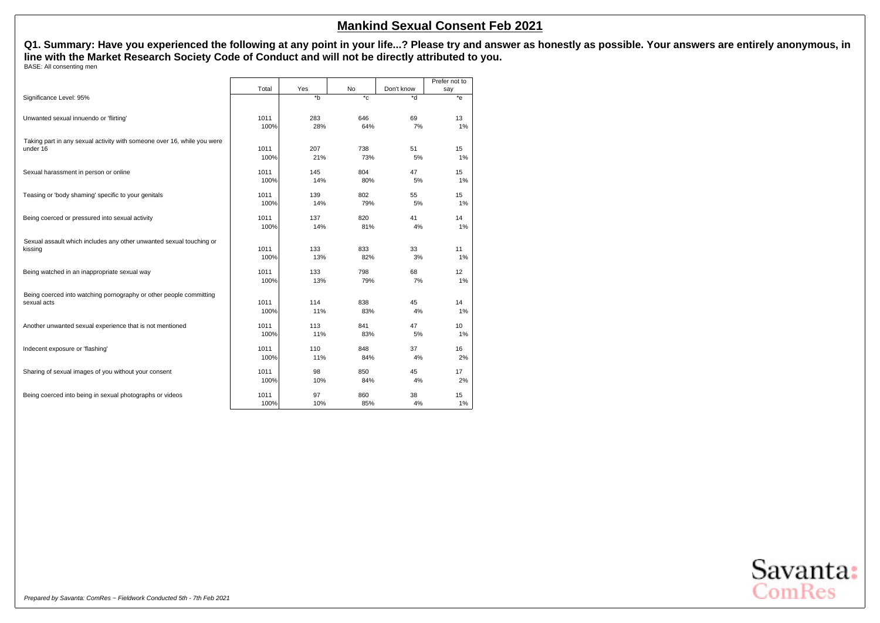<span id="page-8-0"></span>

|                                                                         |       |     |                |            | Prefer not to |
|-------------------------------------------------------------------------|-------|-----|----------------|------------|---------------|
|                                                                         | Total | Yes | <b>No</b>      | Don't know | say           |
| Significance Level: 95%                                                 |       | b   | $\overline{c}$ | $^*d$      | $*_{e}$       |
| Unwanted sexual innuendo or 'flirting'                                  | 1011  | 283 | 646            | 69         | 13            |
|                                                                         | 100%  | 28% | 64%            | 7%         | 1%            |
| Taking part in any sexual activity with someone over 16, while you were |       |     |                |            |               |
| under 16                                                                | 1011  | 207 | 738            | 51         | 15            |
|                                                                         | 100%  | 21% | 73%            | 5%         | 1%            |
| Sexual harassment in person or online                                   | 1011  | 145 | 804            | 47         | 15            |
|                                                                         | 100%  | 14% | 80%            | 5%         | 1%            |
| Teasing or 'body shaming' specific to your genitals                     | 1011  | 139 | 802            | 55         | 15            |
|                                                                         | 100%  | 14% | 79%            | 5%         | 1%            |
| Being coerced or pressured into sexual activity                         | 1011  | 137 | 820            | 41         | 14            |
|                                                                         | 100%  | 14% | 81%            | 4%         | 1%            |
| Sexual assault which includes any other unwanted sexual touching or     |       |     |                |            |               |
| kissing                                                                 | 1011  | 133 | 833            | 33         | 11            |
|                                                                         | 100%  | 13% | 82%            | 3%         | 1%            |
| Being watched in an inappropriate sexual way                            | 1011  | 133 | 798            | 68         | 12            |
|                                                                         | 100%  | 13% | 79%            | 7%         | 1%            |
| Being coerced into watching pornography or other people committing      |       |     |                |            |               |
| sexual acts                                                             | 1011  | 114 | 838            | 45         | 14            |
|                                                                         | 100%  | 11% | 83%            | 4%         | 1%            |
| Another unwanted sexual experience that is not mentioned                | 1011  | 113 | 841            | 47         | 10            |
|                                                                         | 100%  | 11% | 83%            | 5%         | 1%            |
| Indecent exposure or 'flashing'                                         | 1011  | 110 | 848            | 37         | 16            |
|                                                                         | 100%  | 11% | 84%            | 4%         | 2%            |
| Sharing of sexual images of you without your consent                    | 1011  | 98  | 850            | 45         | 17            |
|                                                                         | 100%  | 10% | 84%            | 4%         | 2%            |
| Being coerced into being in sexual photographs or videos                | 1011  | 97  | 860            | 38         | 15            |
|                                                                         | 100%  | 10% | 85%            | 4%         | 1%            |

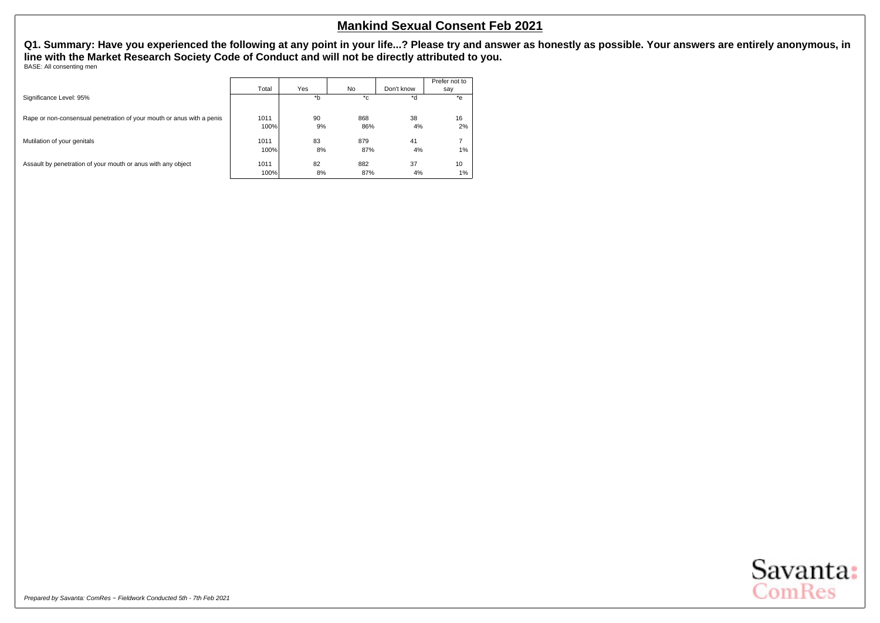|                                                                       |       |      |           |            | Prefer not to |
|-----------------------------------------------------------------------|-------|------|-----------|------------|---------------|
|                                                                       | Total | Yes  | <b>No</b> | Don't know | say           |
| Significance Level: 95%                                               |       | $*b$ | $^*c$     | $h^*$      | $*_{e}$       |
|                                                                       |       |      |           |            |               |
| Rape or non-consensual penetration of your mouth or anus with a penis | 1011  | 90   | 868       | 38         | 16            |
|                                                                       | 100%  | 9%   | 86%       | 4%         | 2%            |
| Mutilation of your genitals                                           | 1011  | 83   | 879       | 41         |               |
|                                                                       | 100%  | 8%   | 87%       | 4%         | $1\%$         |
| Assault by penetration of your mouth or anus with any object          | 1011  | 82   | 882       | 37         | 10            |
|                                                                       | 100%  | 8%   | 87%       | 4%         | $1\%$         |
|                                                                       |       |      |           |            |               |

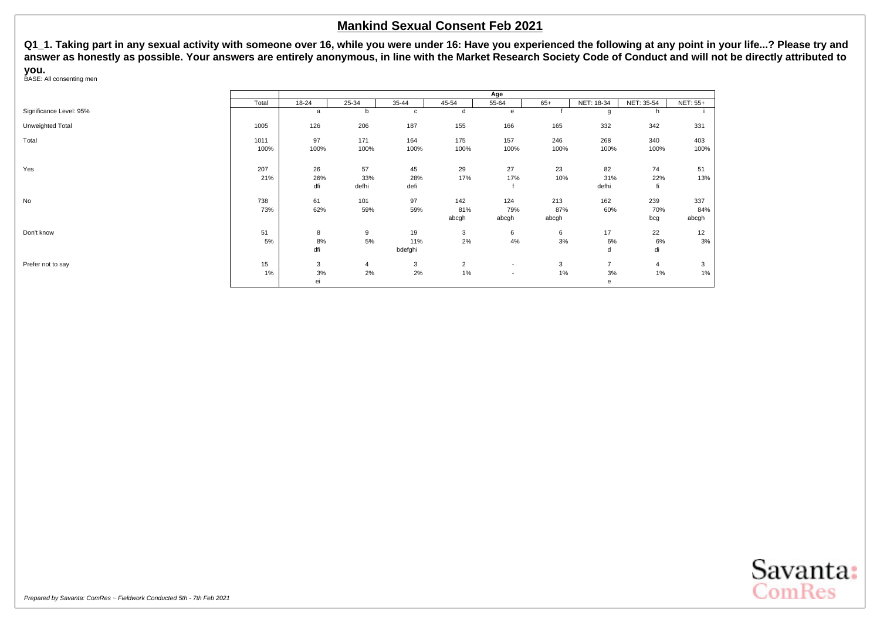<span id="page-10-0"></span>**Q1\_1. Taking part in any sexual activity with someone over 16, while you were under 16: Have you experienced the following at any point in your life...? Please try and**  answer as honestly as possible. Your answers are entirely anonymous, in line with the Market Research Society Code of Conduct and will not be directly attributed to **you.** BASE: All consenting men

|                         |       | Age   |       |         |                |                          |       |                |            |                 |  |  |  |
|-------------------------|-------|-------|-------|---------|----------------|--------------------------|-------|----------------|------------|-----------------|--|--|--|
|                         | Total | 18-24 | 25-34 | 35-44   | 45-54          | 55-64                    | $65+$ | NET: 18-34     | NET: 35-54 | <b>NET: 55+</b> |  |  |  |
| Significance Level: 95% |       | a     | b     | c       | d              | e                        |       | g              | h          |                 |  |  |  |
| Unweighted Total        | 1005  | 126   | 206   | 187     | 155            | 166                      | 165   | 332            | 342        | 331             |  |  |  |
| Total                   | 1011  | 97    | 171   | 164     | 175            | 157                      | 246   | 268            | 340        | 403             |  |  |  |
|                         | 100%  | 100%  | 100%  | 100%    | 100%           | 100%                     | 100%  | 100%           | 100%       | 100%            |  |  |  |
| Yes                     | 207   | 26    | 57    | 45      | 29             | 27                       | 23    | 82             | 74         | 51              |  |  |  |
|                         | 21%   | 26%   | 33%   | 28%     | 17%            | 17%                      | 10%   | 31%            | 22%        | 13%             |  |  |  |
|                         |       | dfi   | defhi | defi    |                |                          |       | defhi          | fi         |                 |  |  |  |
|                         |       |       |       |         |                |                          |       |                |            |                 |  |  |  |
| No                      | 738   | 61    | 101   | 97      | 142            | 124                      | 213   | 162            | 239        | 337             |  |  |  |
|                         | 73%   | 62%   | 59%   | 59%     | 81%            | 79%                      | 87%   | 60%            | 70%        | 84%             |  |  |  |
|                         |       |       |       |         | abcgh          | abcgh                    | abcgh |                | bcg        | abcgh           |  |  |  |
| Don't know              | 51    | 8     | 9     | 19      | 3              | 6                        | 6     | 17             | 22         | 12              |  |  |  |
|                         | 5%    | 8%    | 5%    | 11%     | 2%             | 4%                       | 3%    | 6%             | 6%         | 3%              |  |  |  |
|                         |       | dfi   |       | bdefghi |                |                          |       | d              | di         |                 |  |  |  |
| Prefer not to say       | 15    | 3     | 4     | 3       | $\overline{c}$ | $\overline{\phantom{a}}$ | 3     | $\overline{7}$ | 4          | 3               |  |  |  |
|                         | 1%    | 3%    | 2%    | 2%      | 1%             | $\sim$                   | 1%    | 3%             | 1%         | 1%              |  |  |  |
|                         |       | ei    |       |         |                |                          |       | е              |            |                 |  |  |  |

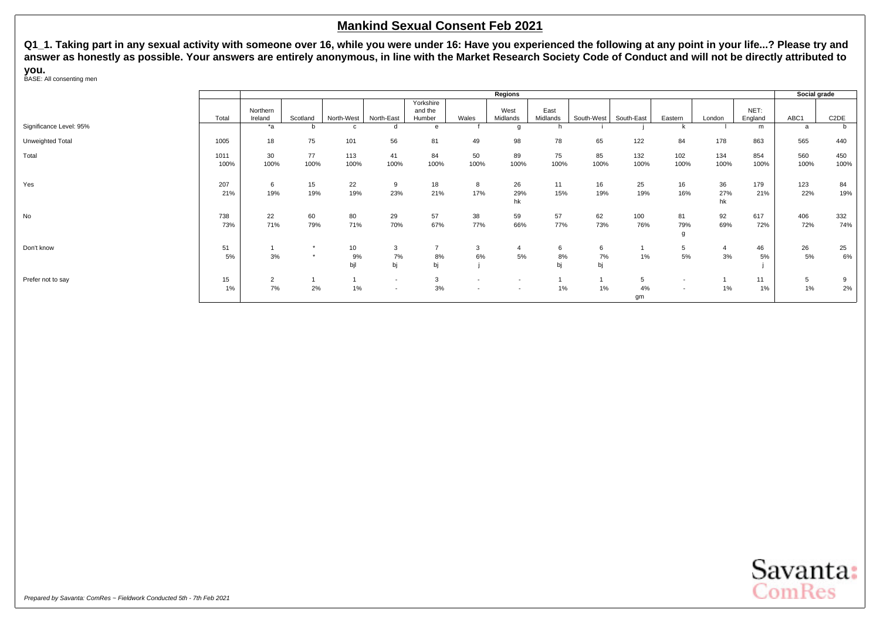**Q1\_1. Taking part in any sexual activity with someone over 16, while you were under 16: Have you experienced the following at any point in your life...? Please try and**  answer as honestly as possible. Your answers are entirely anonymous, in line with the Market Research Society Code of Conduct and will not be directly attributed to **you.** BASE: All consenting men

|                         |              | Regions              |                    |                 |                                    |                                |                                                      |                                                      |                  |               |                |                                                      |                 | Social grade    |             |                   |
|-------------------------|--------------|----------------------|--------------------|-----------------|------------------------------------|--------------------------------|------------------------------------------------------|------------------------------------------------------|------------------|---------------|----------------|------------------------------------------------------|-----------------|-----------------|-------------|-------------------|
|                         | Total        | Northern<br>Ireland  | Scotland           | North-West      | North-East                         | Yorkshire<br>and the<br>Humber | Wales                                                | West<br>Midlands                                     | East<br>Midlands | South-West    | South-East     | Eastern                                              | London          | NET:<br>England | ABC1        | C <sub>2</sub> DE |
| Significance Level: 95% |              | *a                   | h                  |                 | d                                  | e                              |                                                      | g                                                    | h                |               |                | k                                                    |                 | m               | a           | b                 |
| Unweighted Total        | 1005         | 18                   | 75                 | 101             | 56                                 | 81                             | 49                                                   | 98                                                   | 78               | 65            | 122            | 84                                                   | 178             | 863             | 565         | 440               |
| Total                   | 1011<br>100% | 30<br>100%           | 77<br>100%         | 113<br>100%     | 41<br>100%                         | 84<br>100%                     | 50<br>100%                                           | 89<br>100%                                           | 75<br>100%       | 85<br>100%    | 132<br>100%    | 102<br>100%                                          | 134<br>100%     | 854<br>100%     | 560<br>100% | 450<br>100%       |
| Yes                     | 207<br>21%   | 6<br>19%             | 15<br>19%          | 22<br>19%       | 9<br>23%                           | 18<br>21%                      | 8<br>17%                                             | 26<br>29%<br>hk                                      | 11<br>15%        | 16<br>19%     | 25<br>19%      | 16<br>16%                                            | 36<br>27%<br>hk | 179<br>21%      | 123<br>22%  | 84<br>19%         |
| No                      | 738<br>73%   | 22<br>71%            | 60<br>79%          | 80<br>71%       | 29<br>70%                          | 57<br>67%                      | 38<br>77%                                            | 59<br>66%                                            | 57<br>77%        | 62<br>73%     | 100<br>76%     | 81<br>79%<br>g                                       | 92<br>69%       | 617<br>72%      | 406<br>72%  | 332<br>74%        |
| Don't know              | 51<br>5%     | 3%                   | $\star$<br>$\star$ | 10<br>9%<br>bjl | 3<br>7%<br>bj                      | $\overline{7}$<br>8%<br>bj     | 3<br>6%                                              | 5%                                                   | 6<br>8%<br>bj    | b<br>7%<br>bj | $1\%$          | 5<br>5%                                              | 4<br>3%         | 46<br>5%        | 26<br>5%    | 25<br>6%          |
| Prefer not to say       | 15<br>1%     | $\overline{2}$<br>7% | 2%                 | 1%              | $\sim$<br>$\overline{\phantom{a}}$ | 3<br>3%                        | $\overline{\phantom{a}}$<br>$\overline{\phantom{a}}$ | $\overline{\phantom{a}}$<br>$\overline{\phantom{a}}$ | $1\%$            | $1\%$         | -5<br>4%<br>gm | $\overline{\phantom{a}}$<br>$\overline{\phantom{a}}$ | 1%              | 11<br>1%        | 5<br>$1\%$  | 9<br>2%           |

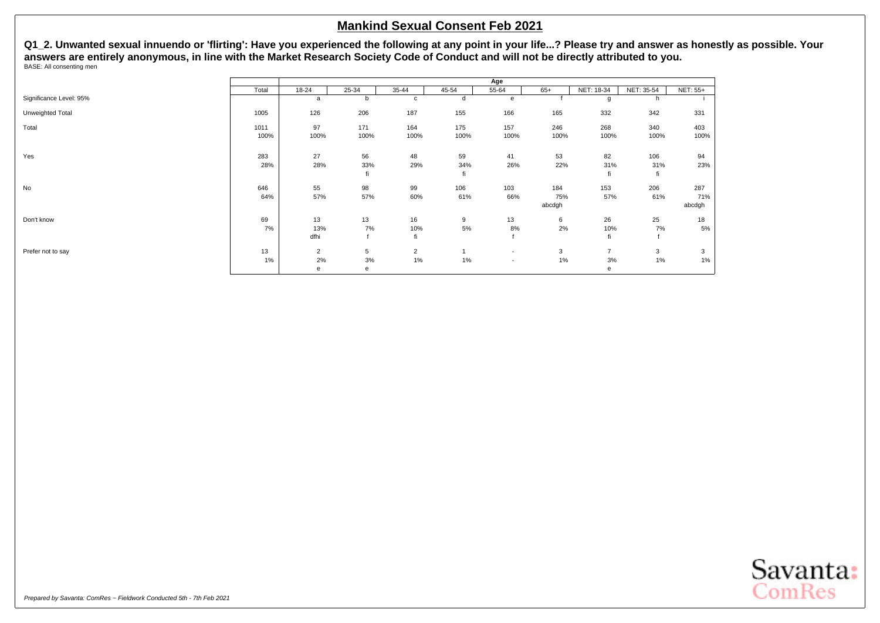<span id="page-12-0"></span>

|                         |              |                |             |                |             | Age                      |             |             |             |                 |
|-------------------------|--------------|----------------|-------------|----------------|-------------|--------------------------|-------------|-------------|-------------|-----------------|
|                         | Total        | $18 - 24$      | $25 - 34$   | $35 - 44$      | $45 - 54$   | $55 - 64$                | $65+$       | NET: 18-34  | NET: 35-54  | <b>NET: 55+</b> |
| Significance Level: 95% |              | a              | b           | $\mathbf c$    | d           | e                        |             | g           |             |                 |
| Unweighted Total        | 1005         | 126            | 206         | 187            | 155         | 166                      | 165         | 332         | 342         | 331             |
| Total                   | 1011<br>100% | 97<br>100%     | 171<br>100% | 164<br>100%    | 175<br>100% | 157<br>100%              | 246<br>100% | 268<br>100% | 340<br>100% | 403<br>100%     |
|                         |              |                |             |                |             |                          |             |             |             |                 |
| Yes                     | 283          | 27             | 56          | 48             | 59          | 41                       | 53          | 82          | 106         | 94              |
|                         | 28%          | 28%            | 33%         | 29%            | 34%         | 26%                      | 22%         | 31%         | 31%         | 23%             |
|                         |              |                | fi          |                | fi          |                          |             |             | fi          |                 |
| No                      | 646          | 55             | 98          | 99             | 106         | 103                      | 184         | 153         | 206         | 287             |
|                         | 64%          | 57%            | 57%         | 60%            | 61%         | 66%                      | 75%         | 57%         | 61%         | 71%             |
|                         |              |                |             |                |             |                          | abcdgh      |             |             | abcdgh          |
| Don't know              | 69           | 13             | 13          | 16             | 9           | 13                       | 6           | 26          | 25          | 18              |
|                         | 7%           | 13%            | 7%          | 10%            | 5%          | 8%                       | 2%          | 10%         | 7%          | 5%              |
|                         |              | dfhi           |             | fi             |             |                          |             |             |             |                 |
| Prefer not to say       | 13           | $\overline{2}$ | 5           | $\overline{2}$ |             | $\overline{\phantom{a}}$ | 3           | 7           | 3           | 3               |
|                         | 1%           | 2%             | 3%          | 1%             | 1%          | $\overline{\phantom{a}}$ | 1%          | 3%          | $1\%$       | 1%              |
|                         |              | е              | е           |                |             |                          |             | e           |             |                 |

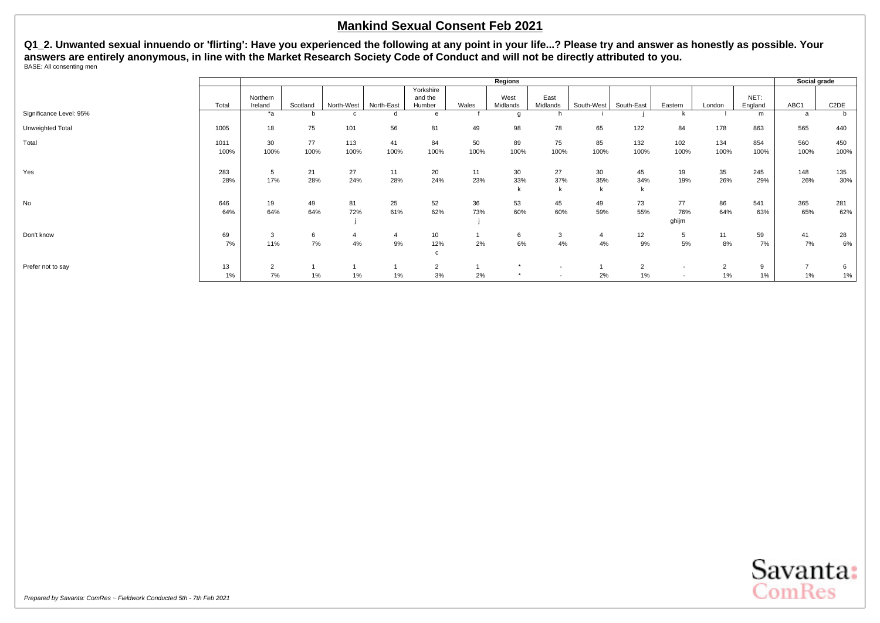|                         |              |                      |            |             |            |                                |            | <b>Regions</b>   |                                                      |            |                         |                                                      |                 |                 | Social grade        |                   |
|-------------------------|--------------|----------------------|------------|-------------|------------|--------------------------------|------------|------------------|------------------------------------------------------|------------|-------------------------|------------------------------------------------------|-----------------|-----------------|---------------------|-------------------|
|                         | Total        | Northern<br>Ireland  | Scotland   | North-West  | North-East | Yorkshire<br>and the<br>Humber | Wales      | West<br>Midlands | East<br>Midlands                                     | South-West | South-East              | Eastern                                              | London          | NET:<br>England | ABC1                | C <sub>2</sub> DE |
| Significance Level: 95% |              | *a                   | b          | c           | d          | е                              |            | g                | h                                                    |            |                         | k                                                    |                 | m               | a                   | b                 |
| Unweighted Total        | 1005         | 18                   | 75         | 101         | 56         | 81                             | 49         | 98               | 78                                                   | 65         | 122                     | 84                                                   | 178             | 863             | 565                 | 440               |
| Total                   | 1011<br>100% | 30<br>100%           | 77<br>100% | 113<br>100% | 41<br>100% | 84<br>100%                     | 50<br>100% | 89<br>100%       | 75<br>100%                                           | 85<br>100% | 132<br>100%             | 102<br>100%                                          | 134<br>100%     | 854<br>100%     | 560<br>100%         | 450<br>100%       |
| Yes                     | 283<br>28%   | 5<br>17%             | 21<br>28%  | 27<br>24%   | 11<br>28%  | 20<br>24%                      | 11<br>23%  | 30<br>33%<br>k   | 27<br>37%<br>$\mathsf{k}$                            | 30<br>35%  | 45<br>34%<br>k          | 19<br>19%                                            | 35<br>26%       | 245<br>29%      | 148<br>26%          | 135<br>30%        |
| No                      | 646<br>64%   | 19<br>64%            | 49<br>64%  | 81<br>72%   | 25<br>61%  | 52<br>62%                      | 36<br>73%  | 53<br>60%        | 45<br>60%                                            | 49<br>59%  | 73<br>55%               | 77<br>76%<br>ghijm                                   | 86<br>64%       | 541<br>63%      | 365<br>65%          | 281<br>62%        |
| Don't know              | 69<br>7%     | 3<br>11%             | 6<br>7%    | 4%          | 9%         | 10<br>12%<br>C                 | 2%         | 6<br>6%          | 3<br>4%                                              | 4%         | 12<br>9%                | 5<br>5%                                              | 11<br>8%        | 59<br>7%        | 41<br>7%            | 28<br>6%          |
| Prefer not to say       | 13<br>$1\%$  | $\overline{2}$<br>7% | 1%         | 1%          | 1%         | $\overline{2}$<br>3%           | 2%         |                  | $\overline{\phantom{a}}$<br>$\overline{\phantom{a}}$ | 2%         | $\overline{2}$<br>$1\%$ | $\overline{\phantom{a}}$<br>$\overline{\phantom{a}}$ | $\sim$<br>$1\%$ | 9<br>1%         | $\rightarrow$<br>1% | 6<br>1%           |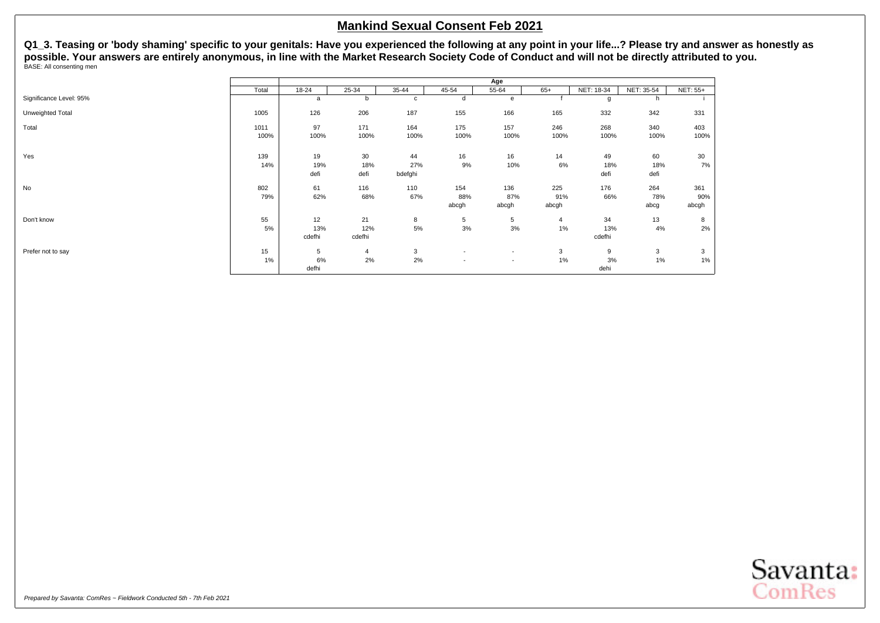<span id="page-14-0"></span>

|                         |              |                     |                     |                      |                                                      | Age                                                  |                      |                     |                    |                       |
|-------------------------|--------------|---------------------|---------------------|----------------------|------------------------------------------------------|------------------------------------------------------|----------------------|---------------------|--------------------|-----------------------|
|                         | Total        | $18 - 24$           | $25 - 34$           | 35-44                | 45-54                                                | 55-64                                                | $65+$                | NET: 18-34          | NET: 35-54         | <b>NET: 55+</b>       |
| Significance Level: 95% |              | a                   | b                   | $\mathbf{C}$         | d                                                    | e                                                    |                      | g                   | n                  |                       |
| Unweighted Total        | 1005         | 126                 | 206                 | 187                  | 155                                                  | 166                                                  | 165                  | 332                 | 342                | 331                   |
| Total                   | 1011<br>100% | 97<br>100%          | 171<br>100%         | 164<br>100%          | 175<br>100%                                          | 157<br>100%                                          | 246<br>100%          | 268<br>100%         | 340<br>100%        | 403<br>100%           |
| Yes                     | 139<br>14%   | 19<br>19%<br>defi   | 30<br>18%<br>defi   | 44<br>27%<br>bdefghi | 16<br>9%                                             | 16<br>10%                                            | 14<br>6%             | 49<br>18%<br>defi   | 60<br>18%<br>defi  | 30 <sup>°</sup><br>7% |
| No                      | 802<br>79%   | 61<br>62%           | 116<br>68%          | 110<br>67%           | 154<br>88%<br>abcgh                                  | 136<br>87%<br>abcgh                                  | 225<br>91%<br>abcgh  | 176<br>66%          | 264<br>78%<br>abcg | 361<br>90%<br>abcgh   |
| Don't know              | 55<br>5%     | 12<br>13%<br>cdefhi | 21<br>12%<br>cdefhi | 8<br>5%              | 5<br>$3%$                                            | 5<br>3%                                              | $\overline{4}$<br>1% | 34<br>13%<br>cdefhi | 13<br>4%           | 8<br>2%               |
| Prefer not to say       | 15<br>1%     | 5<br>6%<br>defhi    | 4<br>2%             | 3<br>2%              | $\overline{\phantom{a}}$<br>$\overline{\phantom{a}}$ | $\overline{\phantom{a}}$<br>$\overline{\phantom{a}}$ | 3<br>1%              | 9<br>3%<br>dehi     | 3<br>$1\%$         | 3<br>1%               |

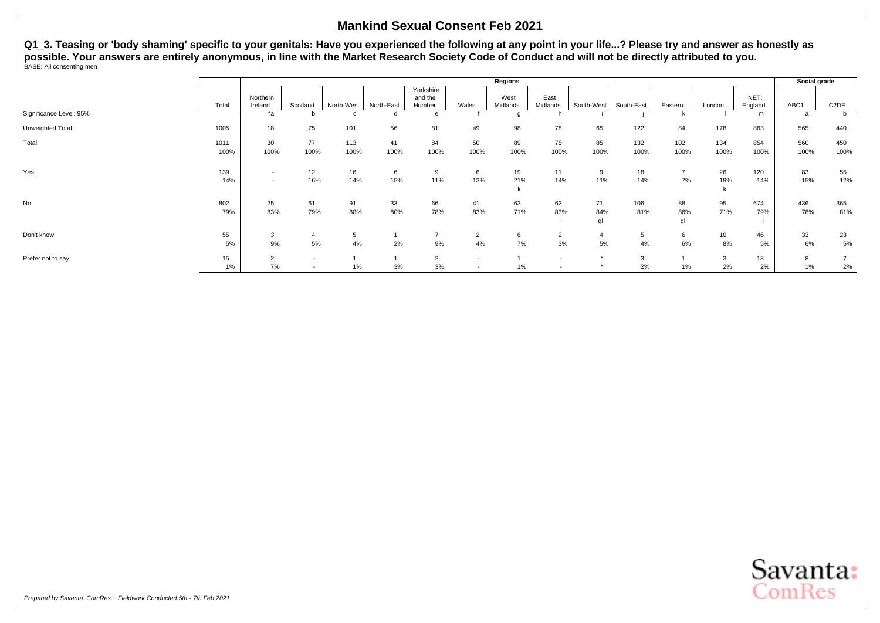|                         |       |                |                          |            |            |                      |             | <b>Regions</b> |                          |            |            |         |        |              | Social grade     |                   |
|-------------------------|-------|----------------|--------------------------|------------|------------|----------------------|-------------|----------------|--------------------------|------------|------------|---------|--------|--------------|------------------|-------------------|
|                         |       | Northern       |                          |            |            | Yorkshire<br>and the |             | West           | East                     |            |            |         |        | NET:         |                  |                   |
| Significance Level: 95% | Total | Ireland<br>*a  | Scotland<br>b            | North-West | North-East | Humber<br>e          | Wales       | Midlands       | Midlands                 | South-West | South-East | Eastern | London | England<br>m | ABC1<br><b>a</b> | C <sub>2</sub> DE |
|                         |       |                |                          |            |            |                      |             |                |                          |            |            |         |        |              |                  |                   |
| Unweighted Total        | 1005  | 18             | 75                       | 101        | 56         | 81                   | 49          | 98             | 78                       | 65         | 122        | 84      | 178    | 863          | 565              | 440               |
| Total                   | 1011  | 30             | 77                       | 113        | 41         | 84                   | 50          | 89             | 75                       | 85         | 132        | 102     | 134    | 854          | 560              | 450               |
|                         | 100%  | 100%           | 100%                     | 100%       | 100%       | 100%                 | 100%        | 100%           | 100%                     | 100%       | 100%       | 100%    | 100%   | 100%         | 100%             | 100%              |
| Yes                     | 139   | $\sim$         | 12                       | 16         | 6          | 9                    | 6           | 19             | 11                       | 9          | 18         |         | 26     | 120          | 83               | 55                |
|                         | 14%   | $\sim$         | 16%                      | 14%        | 15%        | 11%                  | 13%         | 21%            | 14%                      | 11%        | 14%        | 7%      | 19%    | 14%          | 15%              | 12%               |
|                         |       |                |                          |            |            |                      |             |                |                          |            |            |         |        |              |                  |                   |
| No                      | 802   | 25             | 61                       | 91         | 33         | 66                   | 41          | 63             | 62                       | 71         | 106        | 88      | 95     | 674          | 436              | 365               |
|                         | 79%   | 83%            | 79%                      | 80%        | 80%        | 78%                  | 83%         | 71%            | 83%                      | 84%        | 81%        | 86%     | 71%    | 79%          | 78%              | 81%               |
|                         |       |                |                          |            |            |                      |             |                |                          | gl         |            | gl      |        |              |                  |                   |
| Don't know              | 55    | 3              | 4                        | 5          |            |                      | $\sim$<br>∠ | 6              | $\overline{2}$           | 4          | 5          | 6       | 10     | 46           | 33               | 23                |
|                         | 5%    | 9%             | 5%                       | 4%         | 2%         | 9%                   | 4%          | 7%             | 3%                       | 5%         | 4%         | 6%      | 8%     | 5%           | 6%               | 5%                |
| Prefer not to say       | 15    | $\overline{2}$ | $\overline{\phantom{a}}$ |            |            | $\overline{2}$       |             |                | $\overline{\phantom{a}}$ |            | 3          |         | $\sim$ | 13           | 8                |                   |
|                         | 1%    | 7%             | $\overline{\phantom{a}}$ | 1%         | 3%         | 3%                   |             | $1\%$          |                          |            | 2%         | 1%      | 2%     | 2%           | 1%               | 2%                |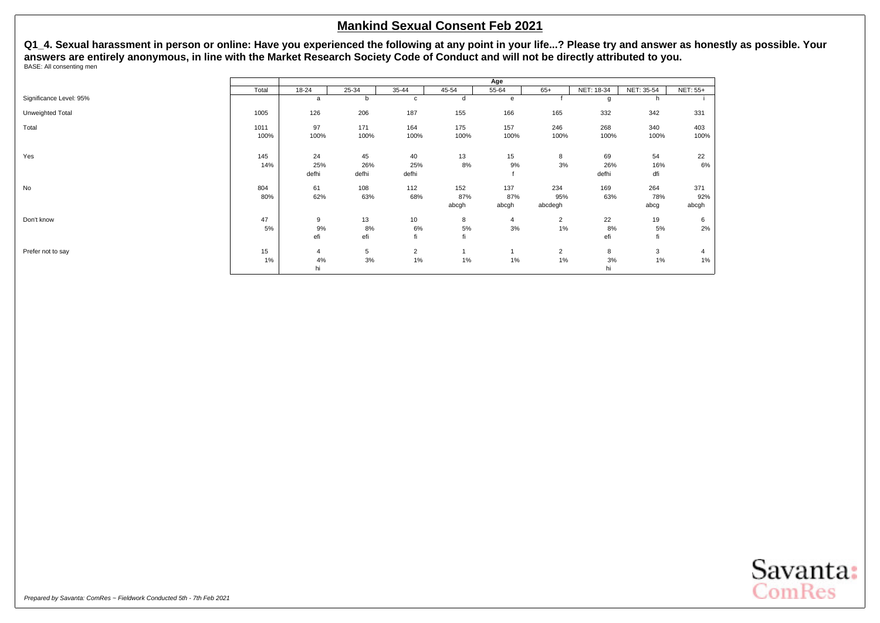<span id="page-16-0"></span>

|                         |              |                            |                    |                      |                     | Age                   |                       |                    |                    |                      |
|-------------------------|--------------|----------------------------|--------------------|----------------------|---------------------|-----------------------|-----------------------|--------------------|--------------------|----------------------|
|                         | Total        | $18 - 24$                  | $25 - 34$          | $35 - 44$            | $45 - 54$           | $55 - 64$             | $65+$                 | NET: 18-34         | NET: 35-54         | <b>NET: 55+</b>      |
| Significance Level: 95% |              | a                          | b                  | c                    | d                   | e                     |                       | g                  | h                  |                      |
| Unweighted Total        | 1005         | 126                        | 206                | 187                  | 155                 | 166                   | 165                   | 332                | 342                | 331                  |
| Total                   | 1011<br>100% | 97<br>100%                 | 171<br>100%        | 164<br>100%          | 175<br>100%         | 157<br>100%           | 246<br>100%           | 268<br>100%        | 340<br>100%        | 403<br>100%          |
| Yes                     | 145<br>14%   | 24<br>25%<br>defhi         | 45<br>26%<br>defhi | 40<br>25%<br>defhi   | 13<br>$8%$          | 15<br>9%              | 8<br>3%               | 69<br>26%<br>defhi | 54<br>16%<br>dfi   | 22<br>6%             |
| No                      | 804<br>80%   | 61<br>62%                  | 108<br>63%         | 112<br>68%           | 152<br>87%<br>abcgh | 137<br>87%<br>abcgh   | 234<br>95%<br>abcdegh | 169<br>63%         | 264<br>78%<br>abcg | 371<br>92%<br>abcgh  |
| Don't know              | 47<br>5%     | 9<br>9%<br>efi             | 13<br>8%<br>efi    | 10<br>6%<br>fi       | 8<br>5%<br>fi       | $\overline{4}$<br>3%  | $\overline{2}$<br>1%  | 22<br>8%<br>efi    | 19<br>5%<br>fi     | 6<br>2%              |
| Prefer not to say       | 15<br>1%     | $\overline{4}$<br>4%<br>hi | 5<br>3%            | $\overline{2}$<br>1% | 1%                  | $\mathbf{1}$<br>$1\%$ | $\overline{2}$<br>1%  | 8<br>3%<br>hi      | 3<br>1%            | $\overline{4}$<br>1% |

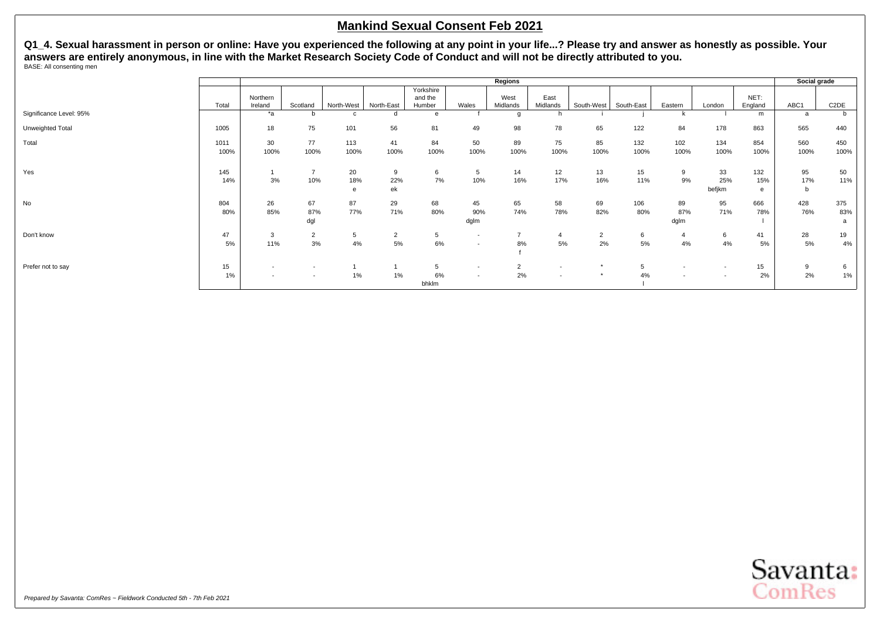|                         |              |                                  |                                                      |                |                |                                |                                                      | Regions              |                                                      |                      |             |                                                      |                     |                 | Social grade   |                   |
|-------------------------|--------------|----------------------------------|------------------------------------------------------|----------------|----------------|--------------------------------|------------------------------------------------------|----------------------|------------------------------------------------------|----------------------|-------------|------------------------------------------------------|---------------------|-----------------|----------------|-------------------|
|                         | Total        | Northern<br>Ireland              | Scotland                                             | North-West     | North-East     | Yorkshire<br>and the<br>Humber | Wales                                                | West<br>Midlands     | East<br>Midlands                                     | South-West           | South-East  | Eastern                                              | London              | NET:<br>England | ABC1           | C <sub>2</sub> DE |
| Significance Level: 95% |              | *a                               | b                                                    |                |                | e                              |                                                      |                      |                                                      |                      |             | k                                                    |                     | m               | a              | b                 |
| Unweighted Total        | 1005         | 18                               | 75                                                   | 101            | 56             | 81                             | 49                                                   | 98                   | 78                                                   | 65                   | 122         | 84                                                   | 178                 | 863             | 565            | 440               |
| Total                   | 1011<br>100% | 30<br>100%                       | 77<br>100%                                           | 113<br>100%    | 41<br>100%     | 84<br>100%                     | 50<br>100%                                           | 89<br>100%           | 75<br>100%                                           | 85<br>100%           | 132<br>100% | 102<br>100%                                          | 134<br>100%         | 854<br>100%     | 560<br>100%    | 450<br>100%       |
| Yes                     | 145<br>14%   | 3%                               | 10%                                                  | 20<br>18%<br>e | 9<br>22%<br>ek | 6<br>7%                        | 5<br>10%                                             | 14<br>16%            | 12<br>17%                                            | 13<br>16%            | 15<br>11%   | 9<br>9%                                              | 33<br>25%<br>befjkm | 132<br>15%<br>e | 95<br>17%<br>b | 50<br>11%         |
| No                      | 804<br>80%   | 26<br>85%                        | 67<br>87%<br>dgl                                     | 87<br>77%      | 29<br>71%      | 68<br>80%                      | 45<br>90%<br>dglm                                    | 65<br>74%            | 58<br>78%                                            | 69<br>82%            | 106<br>80%  | 89<br>87%<br>dglm                                    | 95<br>71%           | 666<br>78%      | 428<br>76%     | 375<br>83%<br>a   |
| Don't know              | 47<br>5%     | 3<br>11%                         | $\overline{2}$<br>3%                                 | 5<br>4%        | 2<br>5%        | 5<br>6%                        |                                                      | $\overline{ }$<br>8% | 4<br>5%                                              | $\overline{2}$<br>2% | 6<br>5%     | 4%                                                   | 6<br>4%             | 41<br>5%        | 28<br>5%       | 19<br>4%          |
| Prefer not to say       | 15<br>1%     | $\overline{a}$<br>$\overline{a}$ | $\overline{\phantom{a}}$<br>$\overline{\phantom{a}}$ | 1%             | 1%             | 5<br>6%<br>bhklm               | $\overline{\phantom{a}}$<br>$\overline{\phantom{a}}$ | $\overline{2}$<br>2% | $\overline{\phantom{a}}$<br>$\overline{\phantom{a}}$ |                      | 4%          | $\overline{\phantom{a}}$<br>$\overline{\phantom{a}}$ |                     | 15<br>2%        | 9<br>2%        | 6<br>1%           |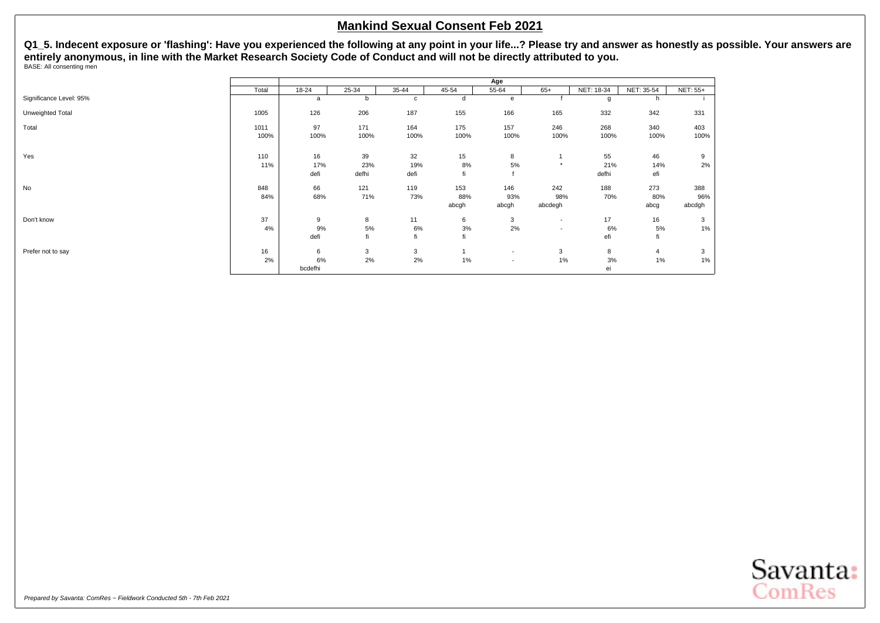<span id="page-18-0"></span>

|                         |       |           |           |           |           | Age                      |                          |            |                |          |
|-------------------------|-------|-----------|-----------|-----------|-----------|--------------------------|--------------------------|------------|----------------|----------|
|                         | Total | $18 - 24$ | $25 - 34$ | $35 - 44$ | $45 - 54$ | $55 - 64$                | $65+$                    | NET: 18-34 | NET: 35-54     | NET: 55+ |
| Significance Level: 95% |       | a         | b         | c         | d         | e                        |                          | g          | h              |          |
| Unweighted Total        | 1005  | 126       | 206       | 187       | 155       | 166                      | 165                      | 332        | 342            | 331      |
| Total                   | 1011  | 97        | 171       | 164       | 175       | 157                      | 246                      | 268        | 340            | 403      |
|                         | 100%  | 100%      | 100%      | 100%      | 100%      | 100%                     | 100%                     | 100%       | 100%           | 100%     |
| Yes                     | 110   | 16        | 39        | 32        | 15        | 8                        |                          | 55         | 46             | 9        |
|                         | 11%   | 17%       | 23%       | 19%       | 8%        | 5%                       | $\star$                  | 21%        | 14%            | 2%       |
|                         |       | defi      | defhi     | defi      | fi        |                          |                          | defhi      | efi            |          |
| No                      | 848   | 66        | 121       | 119       | 153       | 146                      | 242                      | 188        | 273            | 388      |
|                         | 84%   | 68%       | 71%       | 73%       | 88%       | 93%                      | 98%                      | 70%        | 80%            | 96%      |
|                         |       |           |           |           | abcgh     | abcgh                    | abcdegh                  |            | abcg           | abcdgh   |
| Don't know              | 37    | 9         | 8         | 11        | 6         | 3                        | $\overline{\phantom{a}}$ | 17         | 16             | 3        |
|                         | 4%    | 9%        | 5%        | 6%        | 3%        | 2%                       | $\overline{\phantom{a}}$ | 6%         | 5%             | 1%       |
|                         |       | defi      | fi        | fi        | fi        |                          |                          | efi        | fi             |          |
| Prefer not to say       | 16    | 6         | 3         | 3         |           | $\overline{\phantom{a}}$ | 3                        | 8          | $\overline{4}$ | 3        |
|                         | 2%    | 6%        | 2%        | 2%        | 1%        | $\overline{\phantom{a}}$ | 1%                       | 3%         | 1%             | 1%       |
|                         |       | bcdefhi   |           |           |           |                          |                          | ei         |                |          |

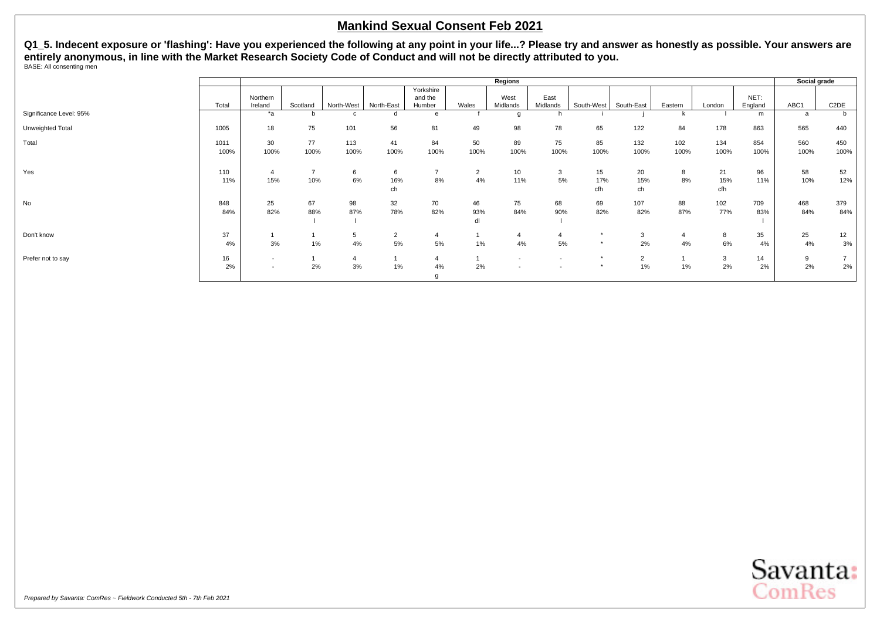|                         |       |                |          |            |                |                      |       | Regions                  |                          |            |            |         |        |         | Social grade |                   |
|-------------------------|-------|----------------|----------|------------|----------------|----------------------|-------|--------------------------|--------------------------|------------|------------|---------|--------|---------|--------------|-------------------|
|                         |       | Northern       |          |            |                | Yorkshire<br>and the |       | West                     | East                     |            |            |         |        | NET:    |              |                   |
|                         | Total | Ireland        | Scotland | North-West | North-East     | Humber               | Wales | Midlands                 | Midlands                 | South-West | South-East | Eastern | London | England | ABC1         | C <sub>2</sub> DE |
| Significance Level: 95% |       | *a             | b        |            |                | e                    |       | g                        |                          |            |            |         |        | m       | a            |                   |
| Unweighted Total        | 1005  | 18             | 75       | 101        | 56             | 81                   | 49    | 98                       | 78                       | 65         | 122        | 84      | 178    | 863     | 565          | 440               |
| Total                   | 1011  | 30             | 77       | 113        | 41             | 84                   | 50    | 89                       | 75                       | 85         | 132        | 102     | 134    | 854     | 560          | 450               |
|                         | 100%  | 100%           | 100%     | 100%       | 100%           | 100%                 | 100%  | 100%                     | 100%                     | 100%       | 100%       | 100%    | 100%   | 100%    | 100%         | 100%              |
| Yes                     | 110   | $\overline{4}$ |          | 6          | 6              |                      | 2     | 10                       | 3                        | 15         | 20         | 8       | 21     | 96      | 58           | 52                |
|                         | 11%   | 15%            | 10%      | 6%         | 16%            | 8%                   | 4%    | 11%                      | 5%                       | 17%        | 15%        | 8%      | 15%    | 11%     | 10%          | 12%               |
|                         |       |                |          |            | ch             |                      |       |                          |                          | cfh        | ch         |         | cfh    |         |              |                   |
| No                      | 848   | 25             | 67       | 98         | 32             | 70                   | 46    | 75                       | 68                       | 69         | 107        | 88      | 102    | 709     | 468          | 379               |
|                         | 84%   | 82%            | 88%      | 87%        | 78%            | 82%                  | 93%   | 84%                      | 90%                      | 82%        | 82%        | 87%     | 77%    | 83%     | 84%          | 84%               |
|                         |       |                |          |            |                |                      | dl    |                          |                          |            |            |         |        |         |              |                   |
| Don't know              | 37    |                |          | 5          | $\overline{2}$ |                      |       |                          | 4                        |            | 3          | 4       | 8      | 35      | 25           | 12                |
|                         | 4%    | 3%             | $1\%$    | 4%         | 5%             | 5%                   | 1%    | 4%                       | 5%                       |            | 2%         | 4%      | 6%     | 4%      | 4%           | 3%                |
| Prefer not to say       | 16    | $\sim$         |          |            |                |                      |       | $\overline{\phantom{a}}$ | $\overline{\phantom{a}}$ |            | 2          |         | 3      | 14      | 9            |                   |
|                         | 2%    | $\sim$         | 2%       | 3%         | 1%             | 4%                   | 2%    | $\overline{\phantom{a}}$ |                          | $\star$    | $1\%$      | 1%      | 2%     | 2%      | 2%           | 2%                |
|                         |       |                |          |            |                |                      |       |                          |                          |            |            |         |        |         |              |                   |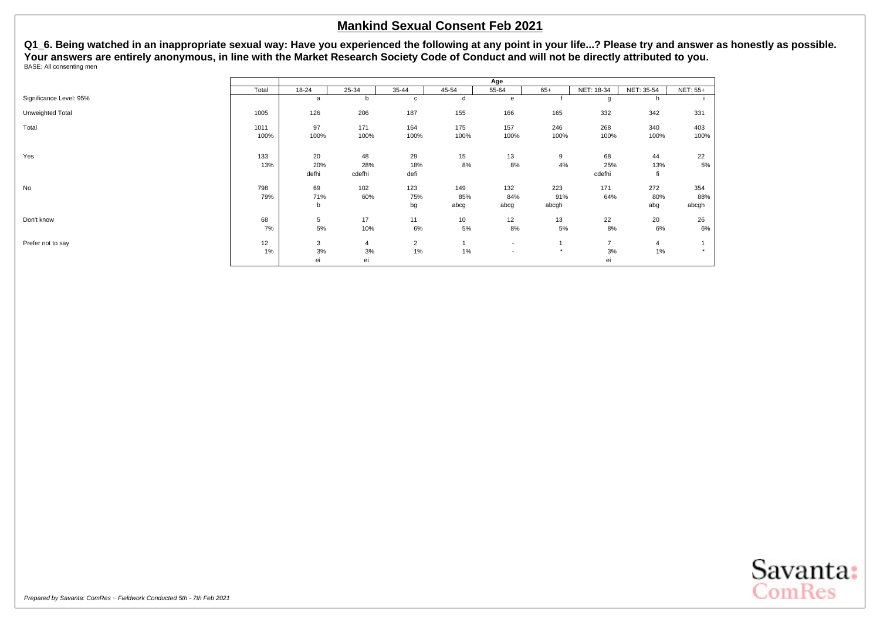<span id="page-20-0"></span>

|                         |              |                    |                     |                      |                    | Age                                                  |                     |                            |                      |                     |
|-------------------------|--------------|--------------------|---------------------|----------------------|--------------------|------------------------------------------------------|---------------------|----------------------------|----------------------|---------------------|
|                         | Total        | $18 - 24$          | $25 - 34$           | $35 - 44$            | 45-54              | $55 - 64$                                            | $65+$               | NET: 18-34                 | NET: 35-54           | <b>NET: 55+</b>     |
| Significance Level: 95% |              | a                  | b                   | $\mathbf{C}$         | d                  | e                                                    |                     | g                          | n                    |                     |
| Unweighted Total        | 1005         | 126                | 206                 | 187                  | 155                | 166                                                  | 165                 | 332                        | 342                  | 331                 |
| Total                   | 1011<br>100% | 97<br>100%         | 171<br>100%         | 164<br>100%          | 175<br>100%        | 157<br>100%                                          | 246<br>100%         | 268<br>100%                | 340<br>100%          | 403<br>100%         |
| Yes                     | 133<br>13%   | 20<br>20%<br>defhi | 48<br>28%<br>cdefhi | 29<br>18%<br>defi    | 15<br>8%           | 13<br>8%                                             | 9<br>4%             | 68<br>25%<br>cdefhi        | 44<br>13%<br>fi      | 22<br>5%            |
| No                      | 798<br>79%   | 69<br>71%<br>b     | 102<br>60%          | 123<br>75%<br>bg     | 149<br>85%<br>abcg | 132<br>84%<br>abcg                                   | 223<br>91%<br>abcgh | 171<br>64%                 | 272<br>80%<br>abg    | 354<br>88%<br>abcgh |
| Don't know              | 68<br>7%     | 5<br>5%            | 17<br>10%           | 11<br>6%             | 10<br>5%           | 12<br>8%                                             | 13<br>5%            | 22<br>8%                   | 20<br>6%             | 26<br>6%            |
| Prefer not to say       | 12<br>1%     | 3<br>3%<br>ei      | 4<br>3%<br>ei       | $\overline{2}$<br>1% | 1%                 | $\overline{\phantom{a}}$<br>$\overline{\phantom{a}}$ | $\star$             | $\overline{7}$<br>3%<br>ei | $\overline{4}$<br>1% | $\star$             |

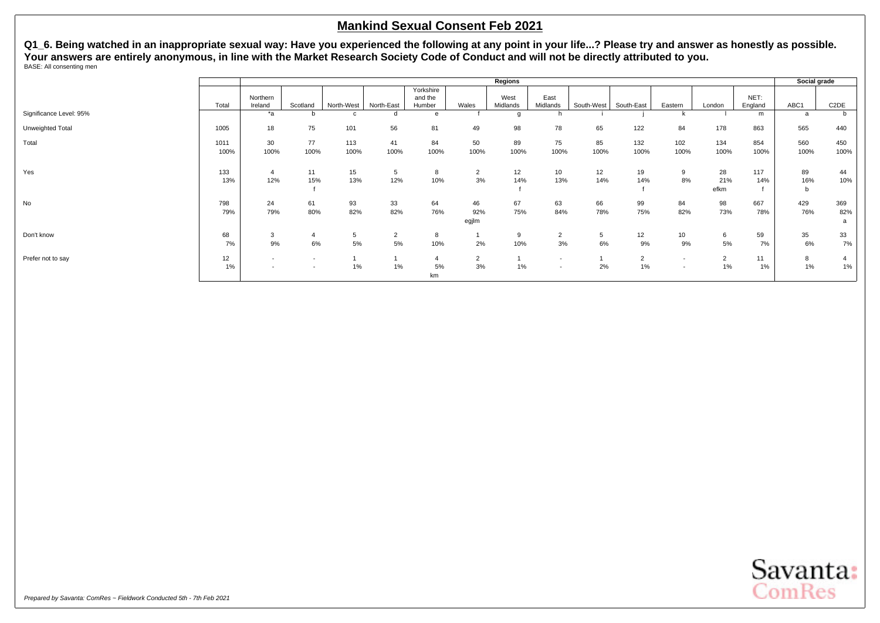|                         |              |                       |                                                      |             |            |                                |                      | Regions          |                                                      |            |                         |                                                      |                         |                 | Social grade   |                   |
|-------------------------|--------------|-----------------------|------------------------------------------------------|-------------|------------|--------------------------------|----------------------|------------------|------------------------------------------------------|------------|-------------------------|------------------------------------------------------|-------------------------|-----------------|----------------|-------------------|
|                         | Total        | Northern<br>Ireland   | Scotland                                             | North-West  | North-East | Yorkshire<br>and the<br>Humber | Wales                | West<br>Midlands | East<br>Midlands                                     | South-West | South-East              | Eastern                                              | London                  | NET:<br>England | ABC1           | C <sub>2</sub> DE |
| Significance Level: 95% |              | *a                    | b                                                    |             |            | e                              |                      | g                | h                                                    |            |                         | ĸ                                                    |                         | m               | a              | b                 |
| Unweighted Total        | 1005         | 18                    | 75                                                   | 101         | 56         | 81                             | 49                   | 98               | 78                                                   | 65         | 122                     | 84                                                   | 178                     | 863             | 565            | 440               |
| Total                   | 1011<br>100% | 30<br>100%            | 77<br>100%                                           | 113<br>100% | 41<br>100% | 84<br>100%                     | 50<br>100%           | 89<br>100%       | 75<br>100%                                           | 85<br>100% | 132<br>100%             | 102<br>100%                                          | 134<br>100%             | 854<br>100%     | 560<br>100%    | 450<br>100%       |
| Yes                     | 133<br>13%   | $\overline{4}$<br>12% | 11<br>15%                                            | 15<br>13%   | 5<br>12%   | 8<br>10%                       | 2<br>3%              | 12<br>14%        | 10<br>13%                                            | 12<br>14%  | 19<br>14%               | 9<br>8%                                              | 28<br>21%<br>efkm       | 117<br>14%      | 89<br>16%<br>b | 44<br>10%         |
| No                      | 798<br>79%   | 24<br>79%             | 61<br>80%                                            | 93<br>82%   | 33<br>82%  | 64<br>76%                      | 46<br>92%<br>egjlm   | 67<br>75%        | 63<br>84%                                            | 66<br>78%  | 99<br>75%               | 84<br>82%                                            | 98<br>73%               | 667<br>78%      | 429<br>76%     | 369<br>82%<br>a   |
| Don't know              | 68<br>7%     | 3<br>9%               | 4<br>6%                                              | 5<br>5%     | 2<br>5%    | 8<br>10%                       | 2%                   | 9<br>10%         | 2<br>3%                                              | 5<br>6%    | 12<br>9%                | 10<br>9%                                             | 6<br>5%                 | 59<br>7%        | 35<br>6%       | 33<br>7%          |
| Prefer not to say       | 12<br>1%     | $\sim$<br>$\sim$      | $\overline{\phantom{a}}$<br>$\overline{\phantom{a}}$ | 1%          | 1%         | 4<br>5%<br>km                  | $\overline{2}$<br>3% | 1%               | $\overline{\phantom{a}}$<br>$\overline{\phantom{a}}$ | 2%         | $\overline{2}$<br>$1\%$ | $\overline{\phantom{a}}$<br>$\overline{\phantom{a}}$ | $\overline{2}$<br>$1\%$ | 11<br>1%        | 8<br>1%        | 1%                |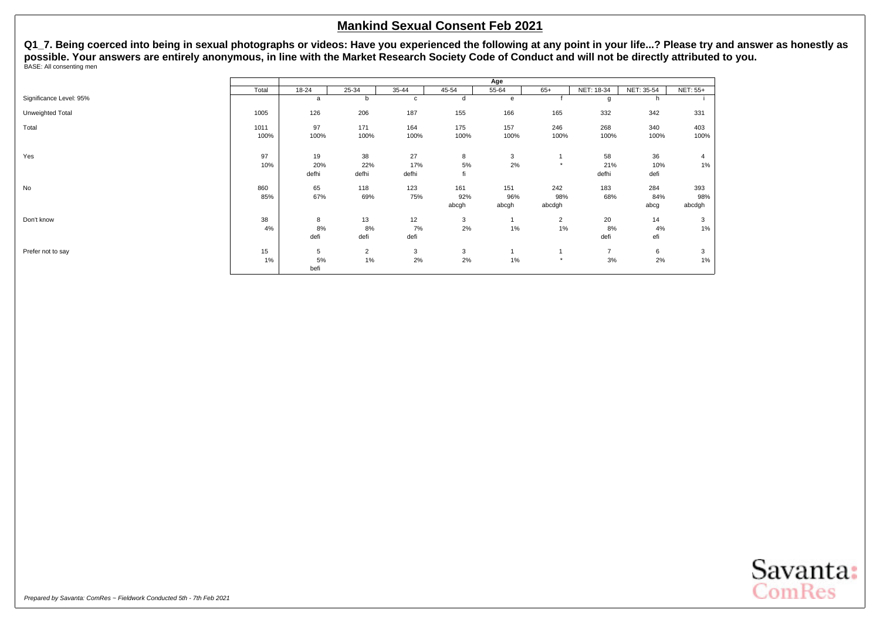<span id="page-22-0"></span>

|                         |       |       |                |              |       | Age       |                |                |            |                 |
|-------------------------|-------|-------|----------------|--------------|-------|-----------|----------------|----------------|------------|-----------------|
|                         | Total | 18-24 | $25 - 34$      | 35-44        | 45-54 | $55 - 64$ | $65+$          | NET: 18-34     | NET: 35-54 | <b>NET: 55+</b> |
| Significance Level: 95% |       | a     | b              | $\mathbf c$  | d     | e         |                | g              | h          |                 |
| Unweighted Total        | 1005  | 126   | 206            | 187          | 155   | 166       | 165            | 332            | 342        | 331             |
| Total                   | 1011  | 97    | 171            | 164          | 175   | 157       | 246            | 268            | 340        | 403             |
|                         | 100%  | 100%  | 100%           | 100%         | 100%  | 100%      | 100%           | 100%           | 100%       | 100%            |
| Yes                     | 97    | 19    | 38             | 27           | 8     | 3         |                | 58             | 36         | 4               |
|                         | 10%   | 20%   | 22%            | 17%          | 5%    | 2%        | $\star$        | 21%            | 10%        | 1%              |
|                         |       | defhi | defhi          | defhi        | fi    |           |                | defhi          | defi       |                 |
| No                      | 860   | 65    | 118            | 123          | 161   | 151       | 242            | 183            | 284        | 393             |
|                         | 85%   | 67%   | 69%            | 75%          | 92%   | 96%       | 98%            | 68%            | 84%        | 98%             |
|                         |       |       |                |              | abcgh | abcgh     | abcdgh         |                | abcg       | abcdgh          |
| Don't know              | 38    | 8     | 13             | 12           | 3     |           | $\overline{2}$ | 20             | 14         | 3               |
|                         | 4%    | 8%    | 8%             | 7%           | 2%    | 1%        | 1%             | 8%             | 4%         | 1%              |
|                         |       | defi  | defi           | defi         |       |           |                | defi           | efi        |                 |
| Prefer not to say       | 15    | 5     | $\overline{2}$ | $\mathbf{3}$ | 3     |           |                | $\overline{7}$ | 6          | 3               |
|                         | 1%    | 5%    | 1%             | 2%           | 2%    | 1%        | $\star$        | 3%             | 2%         | 1%              |
|                         |       | befi  |                |              |       |           |                |                |            |                 |

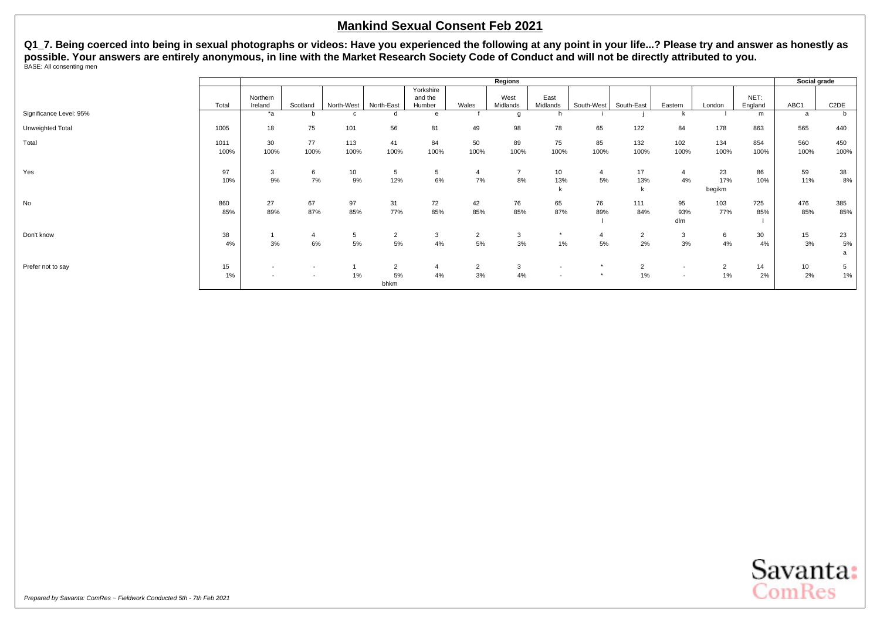|                         |              |                                            |                                                      |              |                              |                                |            | Regions              |                                                      |            |                         |                                                      |                         |                 | Social grade |                      |
|-------------------------|--------------|--------------------------------------------|------------------------------------------------------|--------------|------------------------------|--------------------------------|------------|----------------------|------------------------------------------------------|------------|-------------------------|------------------------------------------------------|-------------------------|-----------------|--------------|----------------------|
|                         | Total        | Northern<br>Ireland                        | Scotland                                             | North-West   | North-East                   | Yorkshire<br>and the<br>Humber | Wales      | West<br>Midlands     | East<br>Midlands                                     | South-West | South-East              | Eastern                                              | London                  | NET:<br>England | ABC1         | C <sub>2</sub> DE    |
| Significance Level: 95% |              | *a                                         | b                                                    | $\mathbf{C}$ |                              | e                              |            | g                    |                                                      |            |                         | k                                                    |                         | m               | a            | b                    |
| Unweighted Total        | 1005         | 18                                         | 75                                                   | 101          | 56                           | 81                             | 49         | 98                   | 78                                                   | 65         | 122                     | 84                                                   | 178                     | 863             | 565          | 440                  |
| Total                   | 1011<br>100% | 30<br>100%                                 | 77<br>100%                                           | 113<br>100%  | 41<br>100%                   | 84<br>100%                     | 50<br>100% | 89<br>100%           | 75<br>100%                                           | 85<br>100% | 132<br>100%             | 102<br>100%                                          | 134<br>100%             | 854<br>100%     | 560<br>100%  | 450<br>100%          |
| Yes                     | 97<br>10%    | $\mathbf{3}$<br>9%                         | 6<br>7%                                              | 10<br>9%     | 5<br>12%                     | 5<br>6%                        | 7%         | $\overline{ }$<br>8% | 10<br>13%<br>$\mathsf k$                             | 4<br>5%    | 17<br>13%<br>k          | 4%                                                   | 23<br>17%<br>begikm     | 86<br>10%       | 59<br>11%    | 38<br>8%             |
| No                      | 860<br>85%   | 27<br>89%                                  | 67<br>87%                                            | 97<br>85%    | 31<br>77%                    | 72<br>85%                      | 42<br>85%  | 76<br>85%            | 65<br>87%                                            | 76<br>89%  | 111<br>84%              | 95<br>93%<br>dlm                                     | 103<br>77%              | 725<br>85%      | 476<br>85%   | 385<br>85%           |
| Don't know              | 38<br>4%     | 3%                                         | 4<br>6%                                              | 5<br>5%      | $\overline{2}$<br>5%         | 3<br>4%                        | 2<br>5%    | 3<br>3%              | $\star$<br>1%                                        | 5%         | $\overline{2}$<br>2%    | 3<br>3%                                              | 6<br>4%                 | 30<br>4%        | 15<br>3%     | 23<br>5%<br>a        |
| Prefer not to say       | 15<br>1%     | $\overline{\phantom{a}}$<br>$\overline{a}$ | $\overline{\phantom{0}}$<br>$\overline{\phantom{a}}$ | 1%           | $\overline{2}$<br>5%<br>bhkm | 4%                             | 2<br>3%    | $\mathbf{3}$<br>4%   | $\overline{\phantom{a}}$<br>$\overline{\phantom{a}}$ |            | $\overline{2}$<br>$1\%$ | $\overline{\phantom{a}}$<br>$\overline{\phantom{a}}$ | $\overline{2}$<br>$1\%$ | 14<br>2%        | 10<br>2%     | 5 <sup>5</sup><br>1% |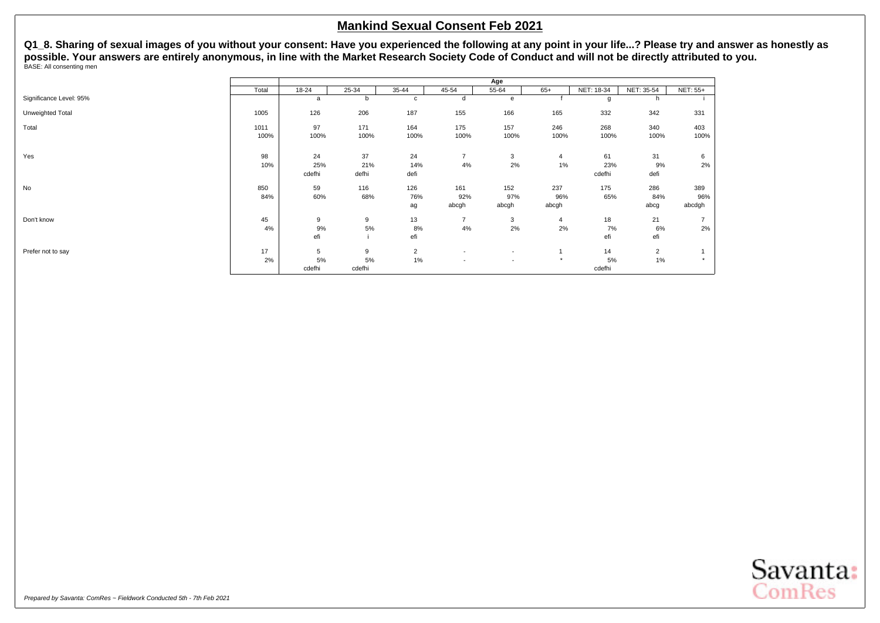<span id="page-24-0"></span>

|                         |              |                     |                    |                   |                                | Age                                        |                      |                     |                         |                      |
|-------------------------|--------------|---------------------|--------------------|-------------------|--------------------------------|--------------------------------------------|----------------------|---------------------|-------------------------|----------------------|
|                         | Total        | $18 - 24$           | $25 - 34$          | 35-44             | 45-54                          | 55-64                                      | $65+$                | NET: 18-34          | NET: 35-54              | <b>NET: 55+</b>      |
| Significance Level: 95% |              | a                   | b                  | $\mathbf c$       | d                              | e                                          |                      | g                   |                         |                      |
| Unweighted Total        | 1005         | 126                 | 206                | 187               | 155                            | 166                                        | 165                  | 332                 | 342                     | 331                  |
| Total                   | 1011<br>100% | 97<br>100%          | 171<br>100%        | 164<br>100%       | 175<br>100%                    | 157<br>100%                                | 246<br>100%          | 268<br>100%         | 340<br>100%             | 403<br>100%          |
| Yes                     | 98<br>10%    | 24<br>25%<br>cdefhi | 37<br>21%<br>defhi | 24<br>14%<br>defi | $\overline{\phantom{a}}$<br>4% | 3<br>2%                                    | $\overline{4}$<br>1% | 61<br>23%<br>cdefhi | 31<br>9%<br>defi        | 6<br>2%              |
| No                      | 850<br>84%   | 59<br>60%           | 116<br>68%         | 126<br>76%<br>ag  | 161<br>92%<br>abcgh            | 152<br>97%<br>abcgh                        | 237<br>96%<br>abcgh  | 175<br>65%          | 286<br>84%<br>abcg      | 389<br>96%<br>abcdgh |
| Don't know              | 45<br>4%     | 9<br>9%<br>efi      | 9<br>5%            | 13<br>8%<br>efi   | $\overline{\phantom{a}}$<br>4% | 3<br>2%                                    | $\overline{4}$<br>2% | 18<br>7%<br>efi     | 21<br>6%<br>efi         | 2%                   |
| Prefer not to say       | 17<br>2%     | 5<br>5%<br>cdefhi   | 9<br>5%<br>cdefhi  | 2<br>1%           | $\overline{\phantom{a}}$       | $\overline{\phantom{a}}$<br>$\overline{a}$ | $\star$              | 14<br>5%<br>cdefhi  | $\overline{2}$<br>$1\%$ |                      |

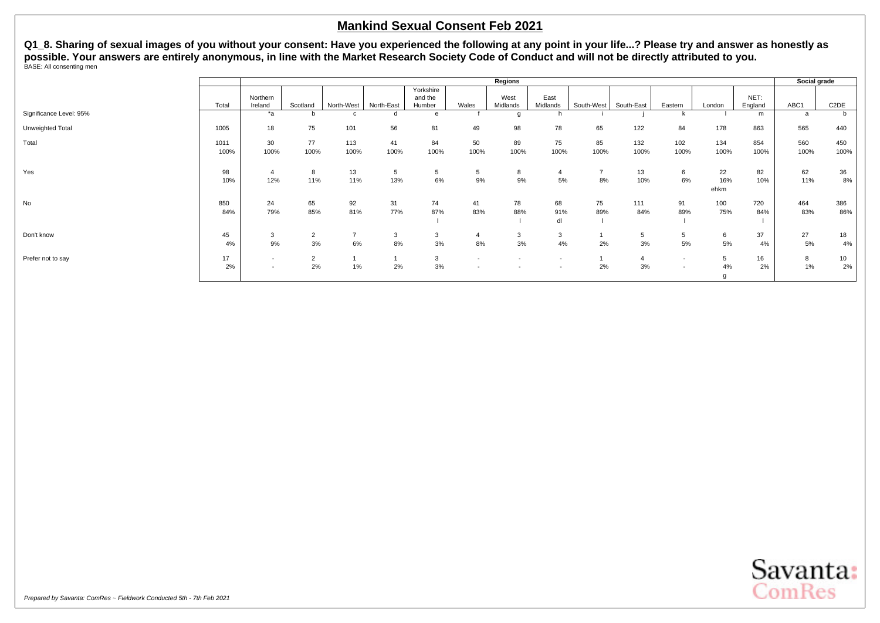|                         |              |                                    |                      |                                |            |                                |            | <b>Regions</b>   |                                                      |                                |             |                                                      |                   |              | Social grade |                   |
|-------------------------|--------------|------------------------------------|----------------------|--------------------------------|------------|--------------------------------|------------|------------------|------------------------------------------------------|--------------------------------|-------------|------------------------------------------------------|-------------------|--------------|--------------|-------------------|
|                         | Total        | Northern<br>Ireland                |                      |                                |            | Yorkshire<br>and the<br>Humber | Wales      | West<br>Midlands | East<br>Midlands                                     |                                |             |                                                      |                   | NET:         | ABC1         |                   |
| Significance Level: 95% |              | *a                                 | Scotland<br>b        | North-West                     | North-East | e                              |            | q                | h                                                    | South-West                     | South-East  | Eastern                                              | London            | England<br>m | <b>a</b>     | C <sub>2</sub> DE |
| Unweighted Total        | 1005         | 18                                 | 75                   | 101                            | 56         | 81                             | 49         | 98               | 78                                                   | 65                             | 122         | 84                                                   | 178               | 863          | 565          | 440               |
| Total                   | 1011<br>100% | 30<br>100%                         | 77<br>100%           | 113<br>100%                    | 41<br>100% | 84<br>100%                     | 50<br>100% | 89<br>100%       | 75<br>100%                                           | 85<br>100%                     | 132<br>100% | 102<br>100%                                          | 134<br>100%       | 854<br>100%  | 560<br>100%  | 450<br>100%       |
| Yes                     | 98<br>10%    | $\overline{4}$<br>12%              | 8<br>11%             | 13<br>11%                      | 5<br>13%   | 5<br>6%                        | 5<br>9%    | 8<br>9%          | 5%                                                   | $\overline{\phantom{a}}$<br>8% | 13<br>10%   | 6<br>6%                                              | 22<br>16%<br>ehkm | 82<br>10%    | 62<br>11%    | 36<br>8%          |
| No                      | 850<br>84%   | 24<br>79%                          | 65<br>85%            | 92<br>81%                      | 31<br>77%  | 74<br>87%                      | 41<br>83%  | 78<br>88%        | 68<br>91%<br>dl                                      | 75<br>89%                      | 111<br>84%  | 91<br>89%                                            | 100<br>75%        | 720<br>84%   | 464<br>83%   | 386<br>86%        |
| Don't know              | 45<br>4%     | 3<br>9%                            | $\overline{2}$<br>3% | $\overline{\phantom{a}}$<br>6% | 3<br>8%    | 3<br>3%                        | 8%         | 3<br>3%          | 3<br>4%                                              | 2%                             | 5<br>3%     | 5<br>5%                                              | 6<br>5%           | 37<br>4%     | 27<br>$5\%$  | 18<br>4%          |
| Prefer not to say       | 17<br>2%     | $\sim$<br>$\overline{\phantom{a}}$ | $\overline{2}$<br>2% | 1%                             | 2%         | 3<br>3%                        | $\sim$     |                  | $\overline{\phantom{a}}$<br>$\overline{\phantom{a}}$ | 2%                             | 3%          | $\overline{\phantom{a}}$<br>$\overline{\phantom{a}}$ | 5<br>4%           | 16<br>2%     | 8<br>1%      | 10<br>2%          |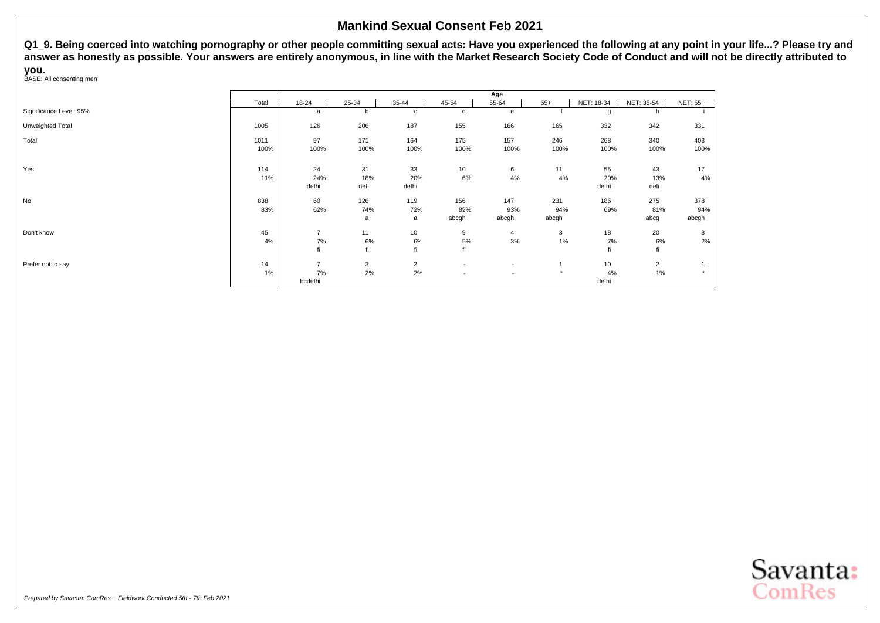<span id="page-26-0"></span>**Q1\_9. Being coerced into watching pornography or other people committing sexual acts: Have you experienced the following at any point in your life...? Please try and**  answer as honestly as possible. Your answers are entirely anonymous, in line with the Market Research Society Code of Conduct and will not be directly attributed to **you.** BASE: All consenting men

|                         |       |                |       |                |                          | Age                      |         |            |                |          |
|-------------------------|-------|----------------|-------|----------------|--------------------------|--------------------------|---------|------------|----------------|----------|
|                         | Total | 18-24          | 25-34 | 35-44          | 45-54                    | 55-64                    | $65+$   | NET: 18-34 | NET: 35-54     | NET: 55+ |
| Significance Level: 95% |       | a              | b     | c              | d                        | e                        |         | g          | n              |          |
| Unweighted Total        | 1005  | 126            | 206   | 187            | 155                      | 166                      | 165     | 332        | 342            | 331      |
| Total                   | 1011  | 97             | 171   | 164            | 175                      | 157                      | 246     | 268        | 340            | 403      |
|                         | 100%  | 100%           | 100%  | 100%           | 100%                     | 100%                     | 100%    | 100%       | 100%           | 100%     |
| Yes                     | 114   | 24             | 31    | 33             | 10                       | 6                        | 11      | 55         | 43             | 17       |
|                         | 11%   | 24%            | 18%   | 20%            | 6%                       | 4%                       | 4%      | 20%        | 13%            | 4%       |
|                         |       | defhi          | defi  | defhi          |                          |                          |         | defhi      | defi           |          |
| No                      | 838   | 60             | 126   | 119            | 156                      | 147                      | 231     | 186        | 275            | 378      |
|                         | 83%   | 62%            | 74%   | 72%            | 89%                      | 93%                      | 94%     | 69%        | 81%            | 94%      |
|                         |       |                | a     | a              | abcgh                    | abcgh                    | abcgh   |            | abcg           | abcgh    |
| Don't know              | 45    | $\overline{7}$ | 11    | 10             | 9                        | $\overline{4}$           | 3       | 18         | 20             | 8        |
|                         | 4%    | 7%             | 6%    | $6\%$          | $5\%$                    | 3%                       | 1%      | 7%         | 6%             | 2%       |
|                         |       | fi             | fi    | fi             | fi                       |                          |         | fi         | fi             |          |
| Prefer not to say       | 14    | $\overline{ }$ | 3     | $\overline{2}$ | $\overline{\phantom{a}}$ | $\overline{\phantom{a}}$ |         | 10         | $\overline{2}$ |          |
|                         | 1%    | 7%             | 2%    | 2%             | $\overline{\phantom{a}}$ | $\overline{\phantom{a}}$ | $\star$ | 4%         | 1%             |          |
|                         |       | bcdefhi        |       |                |                          |                          |         | defhi      |                |          |

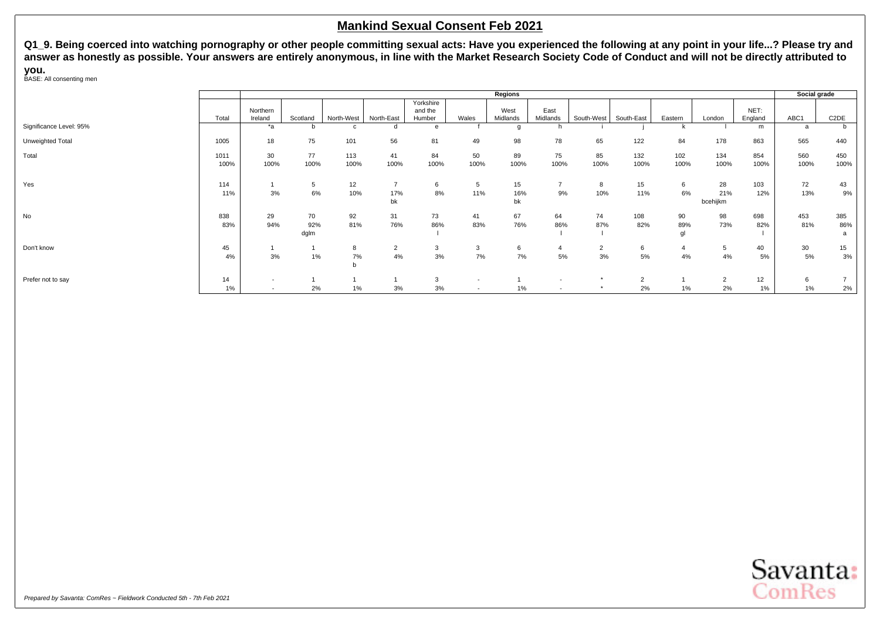**Q1\_9. Being coerced into watching pornography or other people committing sexual acts: Have you experienced the following at any point in your life...? Please try and**  answer as honestly as possible. Your answers are entirely anonymous, in line with the Market Research Society Code of Conduct and will not be directly attributed to **you.** BASE: All consenting men

|                         |              |                     |             | Regions<br>Yorkshire<br>NET:<br>and the<br>West<br>East<br>Humber<br>Wales<br>Midlands<br>Midlands<br>England<br>North-West<br>North-East<br>South-West<br>South-East<br>Eastern<br>London<br>m<br>b<br>d<br>e<br>q<br>n<br>75<br>56<br>98<br>78<br>122<br>101<br>81<br>65<br>84<br>178<br>863<br>49<br>89<br>77<br>41<br>50<br>75<br>85<br>132<br>113<br>84<br>102<br>134<br>854<br>100%<br>100%<br>100%<br>100%<br>100%<br>100%<br>100%<br>100%<br>100%<br>100%<br>100%<br>100%<br>28<br>103<br>5<br>12<br>6<br>15<br>$\overline{7}$<br>15<br>7<br>5<br>6<br>8<br>6%<br>10%<br>8%<br>9%<br>6%<br>12%<br>17%<br>11%<br>16%<br>10%<br>11%<br>21%<br>bk<br>bk<br>bcehijkm<br>70<br>31<br>73<br>67<br>98<br>698<br>92<br>64<br>74<br>108<br>90<br>41 |                      |         |                                                      |         |                          |                      |                      |           |                      |             |             | Social grade         |
|-------------------------|--------------|---------------------|-------------|----------------------------------------------------------------------------------------------------------------------------------------------------------------------------------------------------------------------------------------------------------------------------------------------------------------------------------------------------------------------------------------------------------------------------------------------------------------------------------------------------------------------------------------------------------------------------------------------------------------------------------------------------------------------------------------------------------------------------------------------------|----------------------|---------|------------------------------------------------------|---------|--------------------------|----------------------|----------------------|-----------|----------------------|-------------|-------------|----------------------|
|                         | Total        | Northern<br>Ireland | Scotland    |                                                                                                                                                                                                                                                                                                                                                                                                                                                                                                                                                                                                                                                                                                                                                    |                      |         |                                                      |         |                          |                      |                      |           |                      |             | ABC1        | C <sub>2</sub> DE    |
| Significance Level: 95% |              | $*_{a}$             |             |                                                                                                                                                                                                                                                                                                                                                                                                                                                                                                                                                                                                                                                                                                                                                    |                      |         |                                                      |         |                          |                      |                      |           |                      |             | a           | b                    |
| Unweighted Total        | 1005         | 18                  |             |                                                                                                                                                                                                                                                                                                                                                                                                                                                                                                                                                                                                                                                                                                                                                    |                      |         |                                                      |         |                          |                      |                      |           |                      |             | 565         | 440                  |
| Total                   | 1011<br>100% | 30<br>100%          |             |                                                                                                                                                                                                                                                                                                                                                                                                                                                                                                                                                                                                                                                                                                                                                    |                      |         |                                                      |         |                          |                      |                      |           |                      |             | 560<br>100% | 450<br>100%          |
| Yes                     | 114<br>11%   | 3%                  |             |                                                                                                                                                                                                                                                                                                                                                                                                                                                                                                                                                                                                                                                                                                                                                    |                      |         |                                                      |         |                          |                      |                      |           |                      |             | 72<br>13%   | 43<br>9%             |
| No                      | 838<br>83%   | 29<br>94%           | 92%<br>dglm | 81%                                                                                                                                                                                                                                                                                                                                                                                                                                                                                                                                                                                                                                                                                                                                                | 76%                  | 86%     | 83%                                                  | 76%     | 86%                      | 87%                  | 82%                  | 89%<br>al | 73%                  | 82%         | 453<br>81%  | 385<br>86%<br>a      |
| Don't know              | 45<br>4%     | 3%                  | $1\%$       | 8<br>7%                                                                                                                                                                                                                                                                                                                                                                                                                                                                                                                                                                                                                                                                                                                                            | $\overline{2}$<br>4% | 3<br>3% | 3<br>7%                                              | 6<br>7% | $\overline{4}$<br>5%     | $\overline{2}$<br>3% | 6<br>5%              | 4%        | 5<br>4%              | 40<br>5%    | 30<br>5%    | 15<br>3%             |
| Prefer not to say       | 14<br>1%     | $\sim$<br>$\sim$    | 2%          | $1\%$                                                                                                                                                                                                                                                                                                                                                                                                                                                                                                                                                                                                                                                                                                                                              | 3%                   | 3<br>3% | $\overline{\phantom{a}}$<br>$\overline{\phantom{a}}$ | 1%      | $\overline{\phantom{a}}$ | $\star$              | $\overline{2}$<br>2% | $1\%$     | $\overline{2}$<br>2% | 12<br>$1\%$ | 6<br>1%     | $\overline{7}$<br>2% |

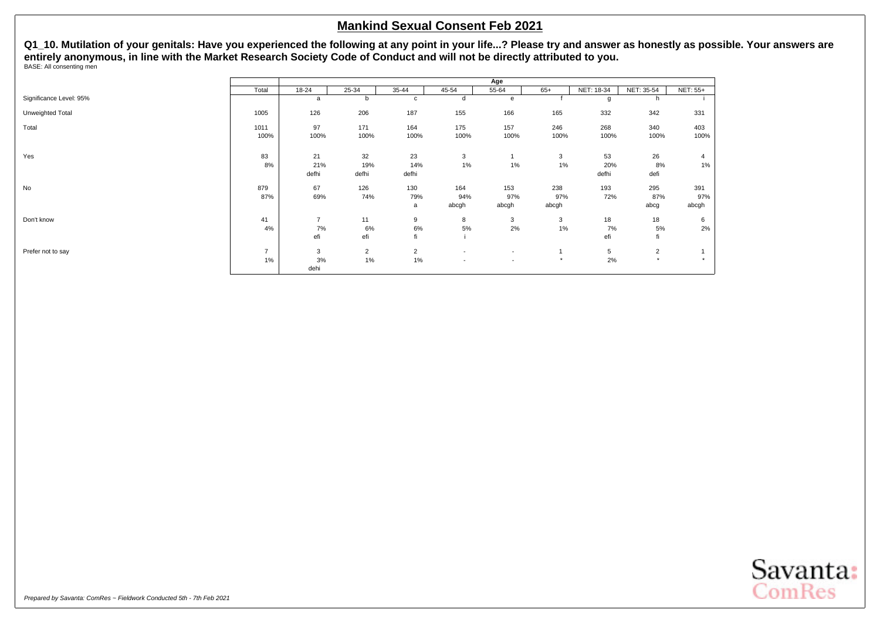<span id="page-28-0"></span>

|                         |                |                |                |                |                          | Age                      |         |            |                |          |
|-------------------------|----------------|----------------|----------------|----------------|--------------------------|--------------------------|---------|------------|----------------|----------|
|                         | Total          | $18 - 24$      | $25 - 34$      | $35 - 44$      | $45 - 54$                | $55 - 64$                | $65+$   | NET: 18-34 | NET: 35-54     | NET: 55+ |
| Significance Level: 95% |                | a              | b              | c              | d                        | e                        |         | g          | h              |          |
| Unweighted Total        | 1005           | 126            | 206            | 187            | 155                      | 166                      | 165     | 332        | 342            | 331      |
| Total                   | 1011           | 97             | 171            | 164            | 175                      | 157                      | 246     | 268        | 340            | 403      |
|                         | 100%           | 100%           | 100%           | 100%           | 100%                     | 100%                     | 100%    | 100%       | 100%           | 100%     |
| Yes                     | 83             | 21             | 32             | 23             | 3                        |                          | 3       | 53         | 26             | 4        |
|                         | 8%             | 21%            | 19%            | 14%            | 1%                       | 1%                       | 1%      | 20%        | 8%             | 1%       |
|                         |                | defhi          | defhi          | defhi          |                          |                          |         | defhi      | defi           |          |
| No                      | 879            | 67             | 126            | 130            | 164                      | 153                      | 238     | 193        | 295            | 391      |
|                         | 87%            | 69%            | 74%            | 79%            | 94%                      | 97%                      | 97%     | 72%        | 87%            | 97%      |
|                         |                |                |                | a              | abcgh                    | abcgh                    | abcgh   |            | abcg           | abcgh    |
| Don't know              | 41             | $\overline{7}$ | 11             | 9              | 8                        | 3                        | 3       | 18         | 18             | 6        |
|                         | 4%             | 7%             | 6%             | 6%             | $5\%$                    | 2%                       | 1%      | 7%         | 5%             | 2%       |
|                         |                | efi            | efi            | fi             |                          |                          |         | efi        | fi             |          |
| Prefer not to say       | $\overline{7}$ | $\mathbf{3}$   | $\overline{2}$ | $\overline{2}$ | $\overline{\phantom{a}}$ | $\overline{\phantom{a}}$ |         | 5          | $\overline{2}$ |          |
|                         | 1%             | 3%             | 1%             | 1%             | $\overline{\phantom{a}}$ | $\overline{\phantom{a}}$ | $\star$ | 2%         | $\star$        | $\star$  |
|                         |                | dehi           |                |                |                          |                          |         |            |                |          |

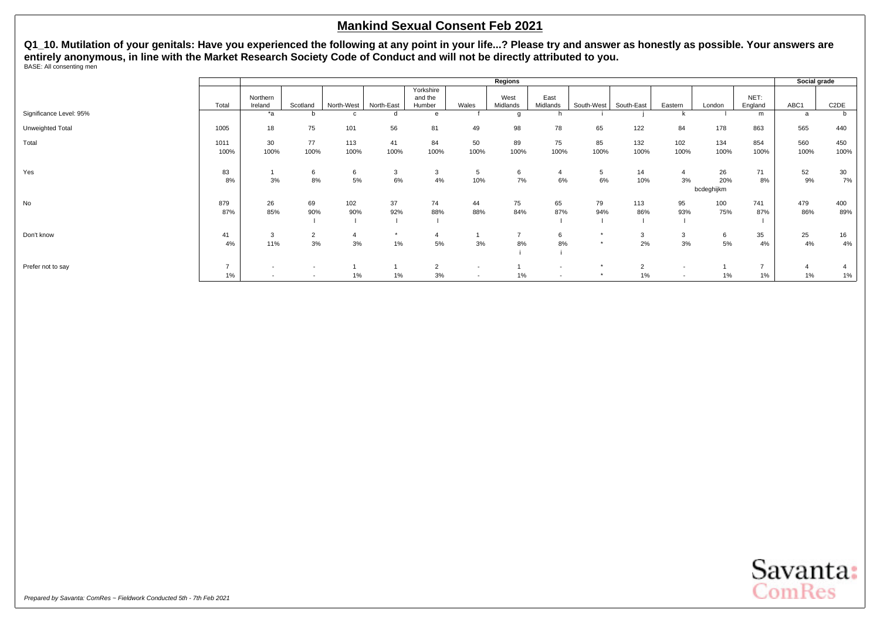|                         |                         |                     |                                                      |             |            |                                |                          | Regions                        |                                                      |            |                         |                                                      |                         |                     | Social grade         |                      |
|-------------------------|-------------------------|---------------------|------------------------------------------------------|-------------|------------|--------------------------------|--------------------------|--------------------------------|------------------------------------------------------|------------|-------------------------|------------------------------------------------------|-------------------------|---------------------|----------------------|----------------------|
|                         | Total                   | Northern<br>Ireland | Scotland                                             | North-West  | North-East | Yorkshire<br>and the<br>Humber | Wales                    | West<br>Midlands               | East<br>Midlands                                     | South-West | South-East              | Eastern                                              | London                  | NET:<br>England     | ABC1                 | C <sub>2</sub> DE    |
| Significance Level: 95% |                         | *a                  | b                                                    |             |            | e                              |                          | g                              |                                                      |            |                         | k                                                    |                         | m                   | a                    | b                    |
| Unweighted Total        | 1005                    | 18                  | 75                                                   | 101         | 56         | 81                             | 49                       | 98                             | 78                                                   | 65         | 122                     | 84                                                   | 178                     | 863                 | 565                  | 440                  |
| Total                   | 1011<br>100%            | 30<br>100%          | 77<br>100%                                           | 113<br>100% | 41<br>100% | 84<br>100%                     | 50<br>100%               | 89<br>100%                     | 75<br>100%                                           | 85<br>100% | 132<br>100%             | 102<br>100%                                          | 134<br>100%             | 854<br>100%         | 560<br>100%          | 450<br>100%          |
| Yes                     | 83<br>8%                | 3%                  | 6<br>8%                                              | 6<br>5%     | 3<br>6%    | 3<br>4%                        | 5<br>10%                 | 6<br>7%                        | $\overline{4}$<br>6%                                 | 5<br>6%    | 14<br>10%               | 4<br>3%                                              | 26<br>20%<br>bcdeghijkm | 71<br>8%            | 52<br>9%             | 30<br>7%             |
| No                      | 879<br>87%              | 26<br>85%           | 69<br>90%                                            | 102<br>90%  | 37<br>92%  | 74<br>88%                      | 44<br>88%                | 75<br>84%                      | 65<br>87%                                            | 79<br>94%  | 113<br>86%              | 95<br>93%                                            | 100<br>75%              | 741<br>87%          | 479<br>86%           | 400<br>89%           |
| Don't know              | 41<br>4%                | 3<br>11%            | $\overline{2}$<br>3%                                 | 3%          | 1%         | 4<br>5%                        | 3%                       | $\overline{\phantom{a}}$<br>8% | 6<br>8%                                              |            | 3<br>2%                 | 3<br>3%                                              | 6<br>5%                 | 35<br>4%            | 25<br>4%             | 16<br>4%             |
| Prefer not to say       | $\overline{ }$<br>$1\%$ |                     | $\overline{\phantom{a}}$<br>$\overline{\phantom{a}}$ | 1%          | 1%         | $\overline{2}$<br>$3%$         | $\overline{\phantom{a}}$ | 1%                             | $\overline{\phantom{a}}$<br>$\overline{\phantom{a}}$ |            | $\overline{2}$<br>$1\%$ | $\overline{\phantom{a}}$<br>$\overline{\phantom{a}}$ | $1\%$                   | $\rightarrow$<br>1% | $\overline{a}$<br>1% | $\overline{4}$<br>1% |

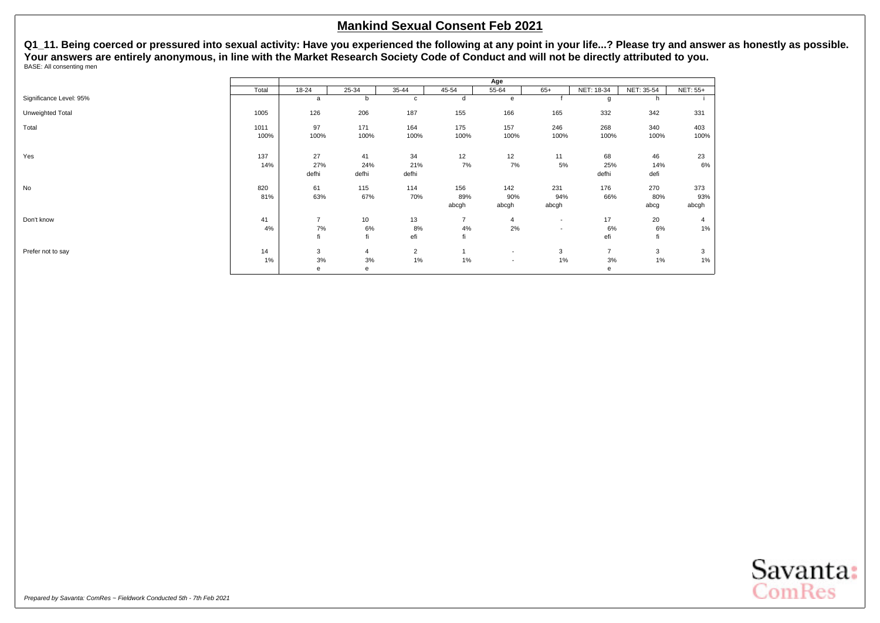<span id="page-30-0"></span>

|                         |       |                |                |                |                | Age                      |        |                |            |                 |
|-------------------------|-------|----------------|----------------|----------------|----------------|--------------------------|--------|----------------|------------|-----------------|
|                         | Total | $18 - 24$      | $25 - 34$      | $35 - 44$      | $45 - 54$      | $55 - 64$                | $65+$  | NET: 18-34     | NET: 35-54 | <b>NET: 55+</b> |
| Significance Level: 95% |       | a              | b              | C              | d              | e                        |        | g              | h          |                 |
| Unweighted Total        | 1005  | 126            | 206            | 187            | 155            | 166                      | 165    | 332            | 342        | 331             |
| Total                   | 1011  | 97             | 171            | 164            | 175            | 157                      | 246    | 268            | 340        | 403             |
|                         | 100%  | 100%           | 100%           | 100%           | 100%           | 100%                     | 100%   | 100%           | 100%       | 100%            |
| Yes                     | 137   | 27             | 41             | 34             | 12             | 12                       | 11     | 68             | 46         | 23              |
|                         | 14%   | 27%            | 24%            | 21%            | 7%             | 7%                       | 5%     | 25%            | 14%        | 6%              |
|                         |       | defhi          | defhi          | defhi          |                |                          |        | defhi          | defi       |                 |
| No                      | 820   | 61             | 115            | 114            | 156            | 142                      | 231    | 176            | 270        | 373             |
|                         | 81%   | 63%            | 67%            | 70%            | 89%            | 90%                      | 94%    | 66%            | 80%        | 93%             |
|                         |       |                |                |                | abcgh          | abcgh                    | abcgh  |                | abcg       | abcgh           |
| Don't know              | 41    | $\overline{7}$ | 10             | 13             | $\overline{7}$ | $\overline{4}$           | $\sim$ | 17             | 20         | 4               |
|                         | 4%    | 7%             | 6%             | 8%             | 4%             | 2%                       | $\sim$ | 6%             | 6%         | 1%              |
|                         |       | fi             | fi             | efi            | fi             |                          |        | efi            |            |                 |
| Prefer not to say       | 14    | 3              | $\overline{4}$ | $\overline{2}$ |                | $\overline{\phantom{a}}$ | 3      | $\overline{7}$ | 3          | 3               |
|                         | 1%    | 3%             | 3%             | 1%             | 1%             | $\overline{\phantom{a}}$ | 1%     | 3%             | 1%         | 1%              |
|                         |       | $\mathbf{e}$   | е              |                |                |                          |        | e              |            |                 |

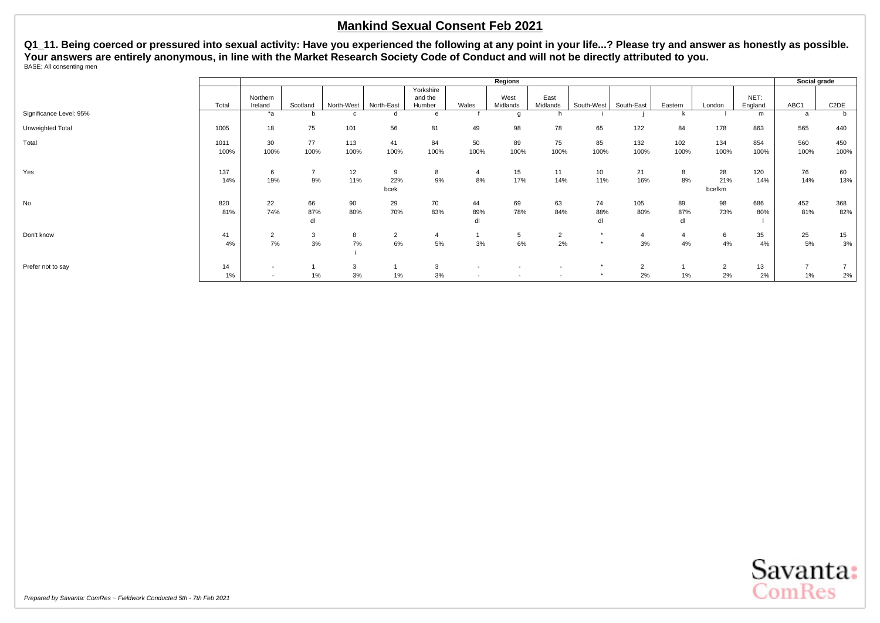|                         |       |                          |                |            |                |                      |       | <b>Regions</b> |                |            |                |         |                |         | Social grade   |                   |
|-------------------------|-------|--------------------------|----------------|------------|----------------|----------------------|-------|----------------|----------------|------------|----------------|---------|----------------|---------|----------------|-------------------|
|                         |       | Northern                 |                |            |                | Yorkshire<br>and the |       | West           | East           |            |                |         |                | NET:    |                |                   |
|                         | Total | Ireland                  | Scotland       | North-West | North-East     | Humber               | Wales | Midlands       | Midlands       | South-West | South-East     | Eastern | London         | England | ABC1           | C <sub>2</sub> DE |
| Significance Level: 95% |       | *a                       | b              |            |                | e                    |       | q              | h              |            |                |         |                | m       | a              |                   |
| Unweighted Total        | 1005  | 18                       | 75             | 101        | 56             | 81                   | 49    | 98             | 78             | 65         | 122            | 84      | 178            | 863     | 565            | 440               |
| Total                   | 1011  | 30                       | 77             | 113        | 41             | 84                   | 50    | 89             | 75             | 85         | 132            | 102     | 134            | 854     | 560            | 450               |
|                         | 100%  | 100%                     | 100%           | 100%       | 100%           | 100%                 | 100%  | 100%           | 100%           | 100%       | 100%           | 100%    | 100%           | 100%    | 100%           | 100%              |
| Yes                     | 137   | 6                        | $\overline{ }$ | 12         | 9              | 8                    |       | 15             | 11             | 10         | 21             | 8       | 28             | 120     | 76             | 60                |
|                         | 14%   | 19%                      | $9\%$          | 11%        | 22%<br>bcek    | 9%                   | 8%    | 17%            | 14%            | 11%        | 16%            | 8%      | 21%<br>bcefkm  | 14%     | 14%            | 13%               |
|                         |       |                          |                |            |                |                      |       |                |                |            |                |         |                |         |                |                   |
| No                      | 820   | 22                       | 66             | 90         | 29             | 70                   | 44    | 69             | 63             | 74         | 105            | 89      | 98             | 686     | 452            | 368               |
|                         | 81%   | 74%                      | 87%            | 80%        | 70%            | 83%                  | 89%   | 78%            | 84%            | 88%        | 80%            | 87%     | 73%            | 80%     | 81%            | 82%               |
|                         |       |                          | dl             |            |                |                      | dl    |                |                | dl         |                | dl      |                |         |                |                   |
| Don't know              | 41    | $\overline{2}$           | 3              | 8          | $\overline{2}$ |                      |       | 5              | $\overline{2}$ |            |                |         | 6              | 35      | 25             | 15 <sub>1</sub>   |
|                         | 4%    | 7%                       | 3%             | 7%         | 6%             | 5%                   | 3%    | 6%             | 2%             |            | 3%             | 4%      | 4%             | 4%      | 5%             | 3%                |
|                         |       |                          |                |            |                |                      |       |                |                |            |                |         |                |         |                |                   |
| Prefer not to say       | 14    | $\overline{\phantom{a}}$ |                | 3          |                | 3                    |       |                |                |            | $\overline{2}$ |         | $\overline{2}$ | 13      | $\overline{7}$ |                   |
|                         | $1\%$ |                          | 1%             | 3%         | 1%             | 3%                   |       |                |                |            | 2%             | 1%      | 2%             | 2%      | $1\%$          | 2%                |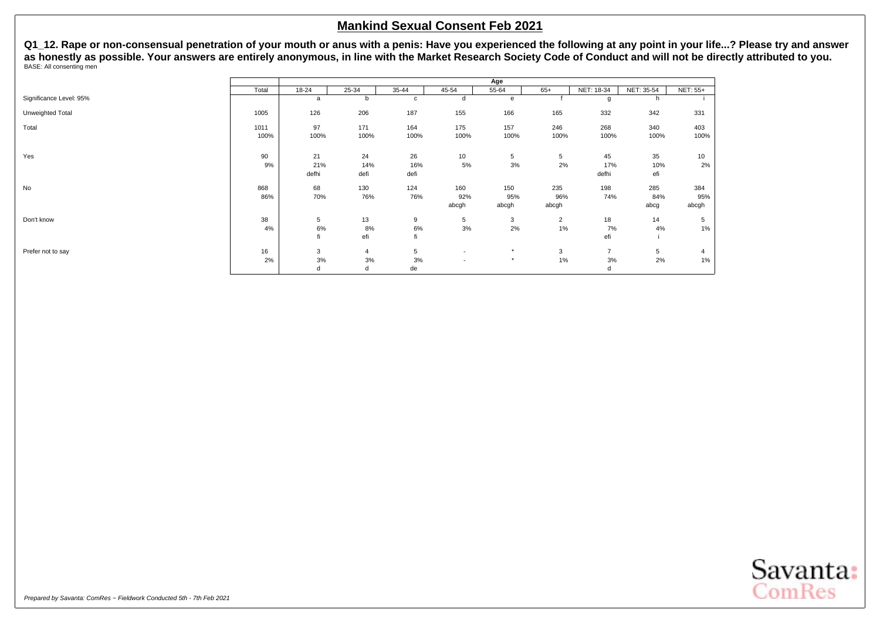<span id="page-32-0"></span>**Q1\_12. Rape or non-consensual penetration of your mouth or anus with a penis: Have you experienced the following at any point in your life...? Please try and answer**  as honestly as possible. Your answers are entirely anonymous, in line with the Market Research Society Code of Conduct and will not be directly attributed to you.<br><sup>BASE: All consenting men</sup>

|                         |              |                    |                           |                   |                                                      | Age                 |                      |                           |                    |                     |
|-------------------------|--------------|--------------------|---------------------------|-------------------|------------------------------------------------------|---------------------|----------------------|---------------------------|--------------------|---------------------|
|                         | Total        | 18-24              | 25-34                     | 35-44             | 45-54                                                | $55 - 64$           | $65+$                | NET: 18-34                | NET: 35-54         | <b>NET: 55+</b>     |
| Significance Level: 95% |              | a                  | b                         | $\mathbf{C}$      | d                                                    | e                   |                      | g                         | h                  |                     |
| Unweighted Total        | 1005         | 126                | 206                       | 187               | 155                                                  | 166                 | 165                  | 332                       | 342                | 331                 |
| Total                   | 1011<br>100% | 97<br>100%         | 171<br>100%               | 164<br>100%       | 175<br>100%                                          | 157<br>100%         | 246<br>100%          | 268<br>100%               | 340<br>100%        | 403<br>100%         |
| Yes                     | 90<br>9%     | 21<br>21%<br>defhi | 24<br>14%<br>defi         | 26<br>16%<br>defi | 10<br>5%                                             | 5<br>3%             | 5<br>2%              | 45<br>17%<br>defhi        | 35<br>10%<br>efi   | 10<br>2%            |
| No                      | 868<br>86%   | 68<br>70%          | 130<br>76%                | 124<br>76%        | 160<br>92%<br>abcgh                                  | 150<br>95%<br>abcgh | 235<br>96%<br>abcgh  | 198<br>74%                | 285<br>84%<br>abcg | 384<br>95%<br>abcgh |
| Don't know              | 38<br>4%     | 5<br>6%<br>fi      | 13<br>8%<br>efi           | 9<br>6%<br>fi     | 5<br>3%                                              | 3<br>2%             | $\overline{2}$<br>1% | 18<br>7%<br>efi           | 14<br>4%           | 5<br>1%             |
| Prefer not to say       | 16<br>2%     | 3<br>3%<br>d       | $\overline{4}$<br>3%<br>d | 5<br>3%<br>de     | $\overline{\phantom{a}}$<br>$\overline{\phantom{a}}$ | $\star$<br>$\star$  | 3<br>1%              | $\overline{7}$<br>3%<br>d | 5<br>2%            | 4<br>1%             |

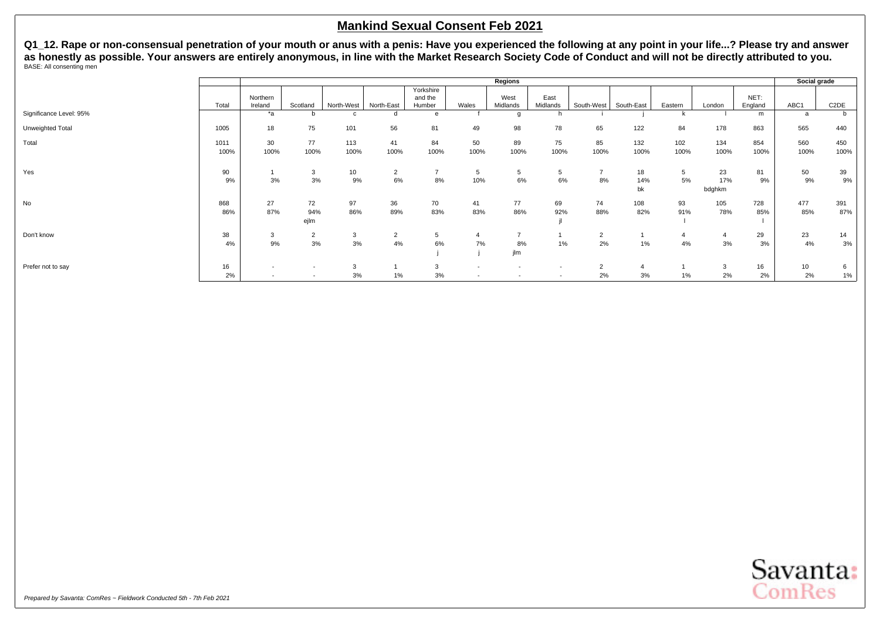**Q1\_12. Rape or non-consensual penetration of your mouth or anus with a penis: Have you experienced the following at any point in your life...? Please try and answer**  as honestly as possible. Your answers are entirely anonymous, in line with the Market Research Society Code of Conduct and will not be directly attributed to you. BASE: All consenting men

|                         |              |                          |                                                      |                    |                      |                                |                          | <b>Regions</b>              |                                                      |                                |                 |             |                     |                 | Social grade |                   |
|-------------------------|--------------|--------------------------|------------------------------------------------------|--------------------|----------------------|--------------------------------|--------------------------|-----------------------------|------------------------------------------------------|--------------------------------|-----------------|-------------|---------------------|-----------------|--------------|-------------------|
|                         | Total        | Northern<br>Ireland      | Scotland                                             | North-West         | North-East           | Yorkshire<br>and the<br>Humber | Wales                    | West<br>Midlands            | East<br>Midlands                                     | South-West                     | South-East      | Eastern     | London              | NET:<br>England | ABC1         | C <sub>2</sub> DE |
| Significance Level: 95% |              | *a                       | b                                                    |                    |                      | e                              |                          | g                           | h                                                    |                                |                 | ĸ           |                     | m               | a            | b                 |
| Unweighted Total        | 1005         | 18                       | 75                                                   | 101                | 56                   | 81                             | 49                       | 98                          | 78                                                   | 65                             | 122             | 84          | 178                 | 863             | 565          | 440               |
| Total                   | 1011<br>100% | 30<br>100%               | 77<br>100%                                           | 113<br>100%        | 41<br>100%           | 84<br>100%                     | 50<br>100%               | 89<br>100%                  | 75<br>100%                                           | 85<br>100%                     | 132<br>100%     | 102<br>100% | 134<br>100%         | 854<br>100%     | 560<br>100%  | 450<br>100%       |
| Yes                     | 90<br>9%     | 3%                       | 3<br>3%                                              | 10<br>9%           | $\overline{2}$<br>6% | 8%                             | 5<br>10%                 | 5<br>6%                     | 5<br>6%                                              | $\overline{\phantom{0}}$<br>8% | 18<br>14%<br>bk | 5<br>5%     | 23<br>17%<br>bdghkm | 81<br>9%        | 50<br>9%     | 39<br>9%          |
| No                      | 868<br>86%   | 27<br>87%                | 72<br>94%<br>ejlm                                    | 97<br>86%          | 36<br>89%            | 70<br>83%                      | 41<br>83%                | 77<br>86%                   | 69<br>92%                                            | 74<br>88%                      | 108<br>82%      | 93<br>91%   | 105<br>78%          | 728<br>85%      | 477<br>85%   | 391<br>87%        |
| Don't know              | 38<br>4%     | 3<br>9%                  | $\overline{2}$<br>3%                                 | 3<br>3%            | 2<br>4%              | 5<br>6%                        | 7%                       | $\overline{ }$<br>8%<br>jlm | $1\%$                                                | 2<br>2%                        | $1\%$           | 4%          | 4<br>3%             | 29<br>3%        | 23<br>4%     | 14<br>3%          |
| Prefer not to say       | 16<br>2%     | $\overline{\phantom{a}}$ | $\overline{\phantom{a}}$<br>$\overline{\phantom{a}}$ | $\sim$<br>ر.<br>3% | 1%                   | 3<br>3%                        | $\overline{\phantom{a}}$ |                             | $\overline{\phantom{a}}$<br>$\overline{\phantom{a}}$ | $\sim$<br>$\epsilon$<br>2%     | 4<br>3%         | $1\%$       | 3<br>2%             | 16<br>2%        | 10<br>2%     | 6<br>$1\%$        |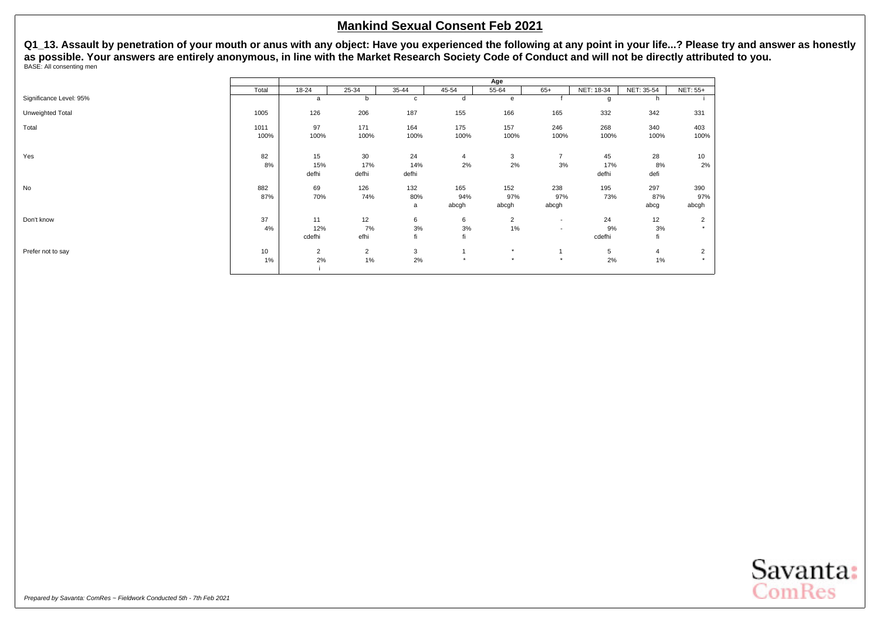<span id="page-34-0"></span>**Q1\_13. Assault by penetration of your mouth or anus with any object: Have you experienced the following at any point in your life...? Please try and answer as honestly**  as possible. Your answers are entirely anonymous, in line with the Market Research Society Code of Conduct and will not be directly attributed to you.<br><sup>BASE: All consenting men</sup>

|                         |              |                      |                      |                    |                     | Age                  |                                    |                    |                      |                           |
|-------------------------|--------------|----------------------|----------------------|--------------------|---------------------|----------------------|------------------------------------|--------------------|----------------------|---------------------------|
|                         | Total        | $18 - 24$            | $25 - 34$            | 35-44              | 45-54               | $55 - 64$            | 65+                                | NET: 18-34         | NET: 35-54           | <b>NET: 55+</b>           |
| Significance Level: 95% |              | a                    | b                    | $\mathbf c$        | d                   | e                    |                                    | g                  | h                    |                           |
| Unweighted Total        | 1005         | 126                  | 206                  | 187                | 155                 | 166                  | 165                                | 332                | 342                  | 331                       |
| Total                   | 1011<br>100% | 97<br>100%           | 171<br>100%          | 164<br>100%        | 175<br>100%         | 157<br>100%          | 246<br>100%                        | 268<br>100%        | 340<br>100%          | 403<br>100%               |
| Yes                     | 82<br>8%     | 15<br>15%<br>defhi   | 30<br>17%<br>defhi   | 24<br>14%<br>defhi | 4<br>2%             | 3<br>2%              | $\overline{7}$<br>3%               | 45<br>17%<br>defhi | 28<br>8%<br>defi     | 10<br>2%                  |
| No                      | 882<br>87%   | 69<br>70%            | 126<br>74%           | 132<br>80%<br>a    | 165<br>94%<br>abcgh | 152<br>97%<br>abcgh  | 238<br>97%<br>abcgh                | 195<br>73%         | 297<br>87%<br>abcg   | 390<br>97%<br>abcgh       |
| Don't know              | 37<br>4%     | 11<br>12%<br>cdefhi  | 12<br>7%<br>efhi     | 6<br>3%<br>fi      | 6<br>3%<br>fi       | $\overline{2}$<br>1% | $\sim$<br>$\overline{\phantom{a}}$ | 24<br>9%<br>cdefhi | 12<br>3%<br>fi       | $\overline{2}$<br>$\star$ |
| Prefer not to say       | 10<br>1%     | $\overline{2}$<br>2% | $\overline{2}$<br>1% | 3<br>2%            | $\star$             | $\star$<br>$\star$   | $\star$                            | 5<br>2%            | $\overline{4}$<br>1% | $\overline{2}$<br>$\star$ |

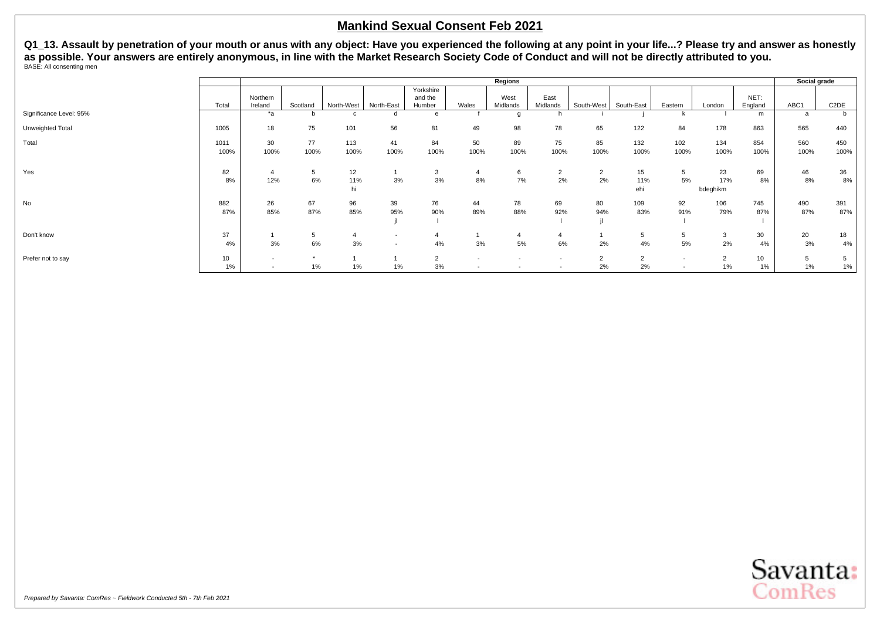**Q1\_13. Assault by penetration of your mouth or anus with any object: Have you experienced the following at any point in your life...? Please try and answer as honestly**  as possible. Your answers are entirely anonymous, in line with the Market Research Society Code of Conduct and will not be directly attributed to you.<br><sup>BASE: All consenting men</sup>

|                         |              |                          |               |                 |                                                      |                                |            | Regions          |                          |                      |                      |                          |                       |                          | Social grade |                   |
|-------------------------|--------------|--------------------------|---------------|-----------------|------------------------------------------------------|--------------------------------|------------|------------------|--------------------------|----------------------|----------------------|--------------------------|-----------------------|--------------------------|--------------|-------------------|
|                         | Total        | Northern<br>Ireland      | Scotland      | North-West      | North-East                                           | Yorkshire<br>and the<br>Humber | Wales      | West<br>Midlands | East<br>Midlands         | South-West           | South-East           | Eastern                  | London                | NET:<br>England          | ABC1         | C <sub>2</sub> DE |
| Significance Level: 95% |              | *a                       |               |                 |                                                      | e                              |            | $\alpha$         |                          |                      |                      |                          |                       | m                        |              |                   |
| Unweighted Total        | 1005         | 18                       | 75            | 101             | 56                                                   | 81                             | 49         | 98               | 78                       | 65                   | 122                  | 84                       | 178                   | 863                      | 565          | 440               |
| Total                   | 1011<br>100% | 30<br>100%               | 77<br>100%    | 113<br>100%     | 41<br>100%                                           | 84<br>100%                     | 50<br>100% | 89<br>100%       | 75<br>100%               | 85<br>100%           | 132<br>100%          | 102<br>100%              | 134<br>100%           | 854<br>100%              | 560<br>100%  | 450<br>100%       |
| Yes                     | 82<br>8%     | 12%                      | 5<br>6%       | 12<br>11%<br>hi | 3%                                                   | 3<br>3%                        | 8%         | 6<br>7%          | 2<br>2%                  | $\overline{2}$<br>2% | 15<br>11%<br>ehi     | 5%                       | 23<br>17%<br>bdeghikm | 69<br>8%                 | 46<br>8%     | 36<br>8%          |
| No                      | 882<br>87%   | 26<br>85%                | 67<br>87%     | 96<br>85%       | 39<br>95%                                            | 76<br>90%                      | 44<br>89%  | 78<br>88%        | 69<br>92%                | 80<br>94%            | 109<br>83%           | 92<br>91%                | 106<br>79%            | 745<br>87%               | 490<br>87%   | 391<br>87%        |
| Don't know              | 37<br>4%     | 3%                       | 5<br>6%       | 3%              | $\overline{\phantom{a}}$<br>$\overline{\phantom{a}}$ | 4%                             | 3%         | 5%               | 6%                       | 2%                   | 5<br>4%              | 5%                       | J<br>2%               | 30<br>4%                 | 20<br>3%     | 18<br>4%          |
| Prefer not to say       | 10<br>$1\%$  | $\overline{\phantom{a}}$ | $\star$<br>1% | 1%              | 1%                                                   | 2<br>3%                        |            |                  | $\overline{\phantom{a}}$ | 2<br>2%              | $\overline{2}$<br>2% | $\overline{\phantom{a}}$ | $\sim$<br>$1\%$       | 10 <sup>°</sup><br>$1\%$ | 5<br>$1\%$   | b<br>1%           |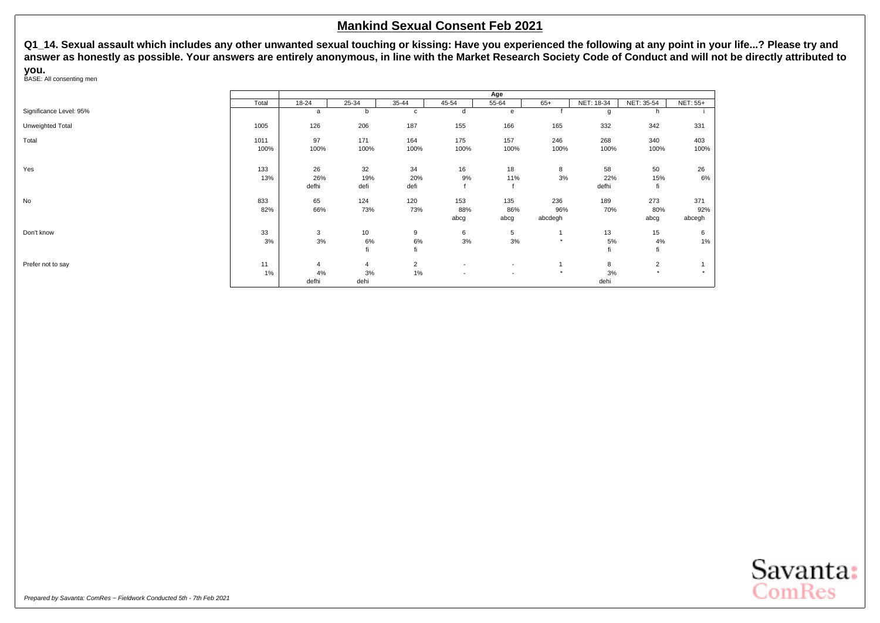<span id="page-36-0"></span>**Q1\_14. Sexual assault which includes any other unwanted sexual touching or kissing: Have you experienced the following at any point in your life...? Please try and**  answer as honestly as possible. Your answers are entirely anonymous, in line with the Market Research Society Code of Conduct and will not be directly attributed to **you.** BASE: All consenting men

|                         |       | Age   |       |                |                          |                          |         |            |                |          |  |  |  |  |
|-------------------------|-------|-------|-------|----------------|--------------------------|--------------------------|---------|------------|----------------|----------|--|--|--|--|
|                         | Total | 18-24 | 25-34 | 35-44          | 45-54                    | 55-64                    | $65+$   | NET: 18-34 | NET: 35-54     | NET: 55+ |  |  |  |  |
| Significance Level: 95% |       | a     | b     | c              | d                        | e                        |         | g          | h              |          |  |  |  |  |
| Unweighted Total        | 1005  | 126   | 206   | 187            | 155                      | 166                      | 165     | 332        | 342            | 331      |  |  |  |  |
| Total                   | 1011  | 97    | 171   | 164            | 175                      | 157                      | 246     | 268        | 340            | 403      |  |  |  |  |
|                         | 100%  | 100%  | 100%  | 100%           | 100%                     | 100%                     | 100%    | 100%       | 100%           | 100%     |  |  |  |  |
| Yes                     | 133   | 26    | 32    | 34             | 16                       | 18                       | 8       | 58         | 50             | 26       |  |  |  |  |
|                         | 13%   | 26%   | 19%   | 20%            | 9%                       | 11%                      | $3%$    | 22%        | 15%            | 6%       |  |  |  |  |
|                         |       | defhi | defi  | defi           |                          |                          |         | defhi      | fi             |          |  |  |  |  |
| No                      | 833   | 65    | 124   | 120            | 153                      | 135                      | 236     | 189        | 273            | 371      |  |  |  |  |
|                         | 82%   | 66%   | 73%   | 73%            | 88%                      | 86%                      | 96%     | 70%        | 80%            | 92%      |  |  |  |  |
|                         |       |       |       |                | abcg                     | abcg                     | abcdegh |            | abcg           | abcegh   |  |  |  |  |
| Don't know              | 33    | 3     | 10    | 9              | 6                        | 5                        |         | 13         | 15             | 6        |  |  |  |  |
|                         | 3%    | 3%    | $6\%$ | 6%             | 3%                       | 3%                       |         | 5%         | 4%             | 1%       |  |  |  |  |
|                         |       |       | fi    | fi             |                          |                          |         | fi         | fi             |          |  |  |  |  |
| Prefer not to say       | 11    | 4     | 4     | $\overline{2}$ | $\overline{\phantom{a}}$ | $\overline{\phantom{a}}$ |         | 8          | $\overline{c}$ |          |  |  |  |  |
|                         | $1\%$ | 4%    | 3%    | 1%             | $\overline{\phantom{a}}$ | $\overline{\phantom{a}}$ |         | 3%         | $\star$        |          |  |  |  |  |
|                         |       | defhi | dehi  |                |                          |                          |         | dehi       |                |          |  |  |  |  |

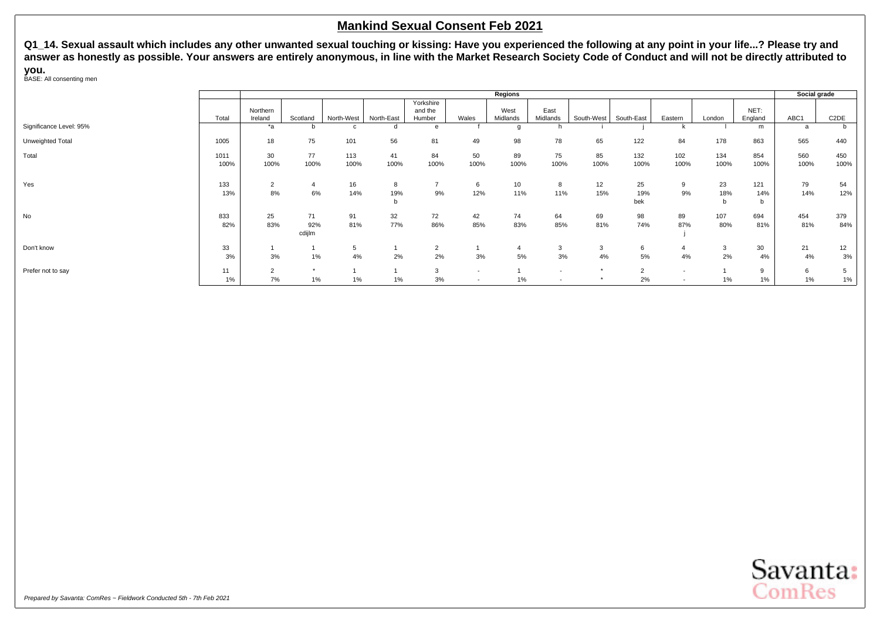**Q1\_14. Sexual assault which includes any other unwanted sexual touching or kissing: Have you experienced the following at any point in your life...? Please try and**  answer as honestly as possible. Your answers are entirely anonymous, in line with the Market Research Society Code of Conduct and will not be directly attributed to **you.** BASE: All consenting men

|                         |              | Regions              |                      |             |               |                                |                          |                  |                          |            |                      |                          |             | Social grade    |             |                      |
|-------------------------|--------------|----------------------|----------------------|-------------|---------------|--------------------------------|--------------------------|------------------|--------------------------|------------|----------------------|--------------------------|-------------|-----------------|-------------|----------------------|
|                         | Total        | Northern<br>Ireland  | Scotland             | North-West  | North-East    | Yorkshire<br>and the<br>Humber | Wales                    | West<br>Midlands | East<br>Midlands         | South-West | South-East           | Eastern                  | London      | NET:<br>England | ABC1        | C <sub>2</sub> DE    |
| Significance Level: 95% |              | *a                   |                      |             | d             | e                              |                          |                  |                          |            |                      |                          |             | m               |             | D                    |
| Unweighted Total        | 1005         | 18                   | 75                   | 101         | 56            | 81                             | 49                       | 98               | 78                       | 65         | 122                  | 84                       | 178         | 863             | 565         | 440                  |
| Total                   | 1011<br>100% | 30<br>100%           | 77<br>100%           | 113<br>100% | 41<br>100%    | 84<br>100%                     | 50<br>100%               | 89<br>100%       | 75<br>100%               | 85<br>100% | 132<br>100%          | 102<br>100%              | 134<br>100% | 854<br>100%     | 560<br>100% | 450<br>100%          |
| Yes                     | 133<br>13%   | $\overline{2}$<br>8% | $\overline{4}$<br>6% | 16<br>14%   | 8<br>19%<br>b | $\rightarrow$<br>9%            | 6<br>12%                 | 10<br>11%        | 8<br>11%                 | 12<br>15%  | 25<br>19%<br>bek     | 9<br>9%                  | 23<br>18%   | 121<br>14%<br>b | 79<br>14%   | 54<br>12%            |
| No                      | 833<br>82%   | 25<br>83%            | 71<br>92%<br>cdijlm  | 91<br>81%   | 32<br>77%     | 72<br>86%                      | 42<br>85%                | 74<br>83%        | 64<br>85%                | 69<br>81%  | 98<br>74%            | 89<br>87%                | 107<br>80%  | 694<br>81%      | 454<br>81%  | 379<br>84%           |
| Don't know              | 33<br>3%     | 3%                   | 1%                   | 4%          | 2%            | $\overline{2}$<br>2%           | 3%                       | 4<br>5%          | 3<br>3%                  | 3<br>4%    | 6<br>5%              | 4<br>4%                  | 3<br>2%     | 30<br>4%        | 21<br>4%    | 12<br>3%             |
| Prefer not to say       | 11<br>$1\%$  | $\overline{2}$<br>7% | $\ddot{}$<br>1%      | 1%          | 1%            | 3<br>3%                        | $\overline{\phantom{a}}$ | $1\%$            | $\overline{\phantom{a}}$ | $\star$    | $\overline{2}$<br>2% | $\overline{\phantom{a}}$ | $1\%$       | 9<br>$1\%$      | 6<br>$1\%$  | 5 <sub>5</sub><br>1% |

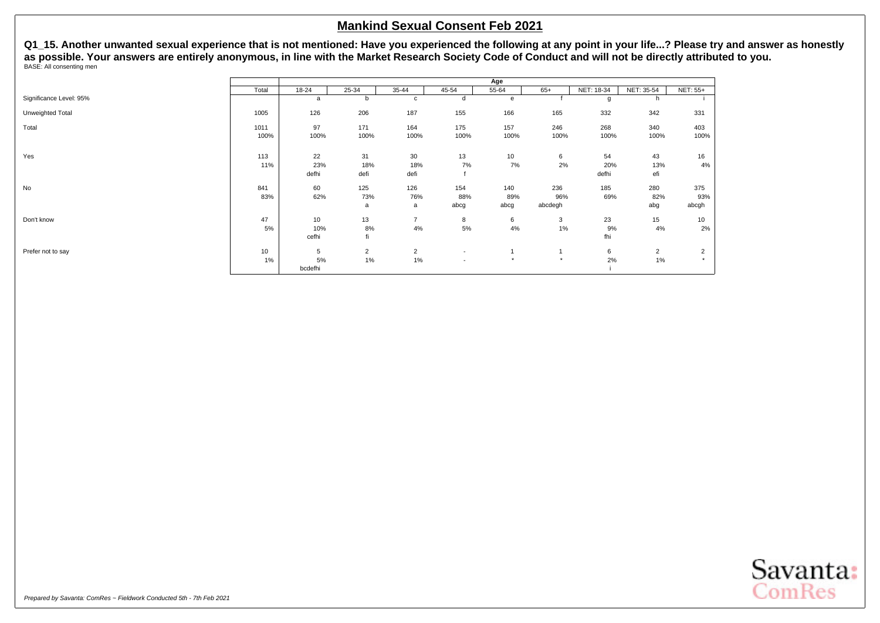<span id="page-38-0"></span>**Q1\_15. Another unwanted sexual experience that is not mentioned: Have you experienced the following at any point in your life...? Please try and answer as honestly**  as possible. Your answers are entirely anonymous, in line with the Market Research Society Code of Conduct and will not be directly attributed to you.<br><sup>BASE: All consenting men</sup>

|                         |       | Age       |                |                |                          |           |         |            |                |                |  |  |  |
|-------------------------|-------|-----------|----------------|----------------|--------------------------|-----------|---------|------------|----------------|----------------|--|--|--|
|                         | Total | $18 - 24$ | $25 - 34$      | $35 - 44$      | 45-54                    | $55 - 64$ | $65+$   | NET: 18-34 | NET: 35-54     | NET: 55+       |  |  |  |
| Significance Level: 95% |       | a         | b              | $\mathbf{C}$   | d                        | e         |         | g          | h              |                |  |  |  |
| Unweighted Total        | 1005  | 126       | 206            | 187            | 155                      | 166       | 165     | 332        | 342            | 331            |  |  |  |
| Total                   | 1011  | 97        | 171            | 164            | 175                      | 157       | 246     | 268        | 340            | 403            |  |  |  |
|                         | 100%  | 100%      | 100%           | 100%           | 100%                     | 100%      | 100%    | 100%       | 100%           | 100%           |  |  |  |
| Yes                     | 113   | 22        | 31             | 30             | 13                       | 10        | 6       | 54         | 43             | 16             |  |  |  |
|                         | 11%   | 23%       | 18%            | 18%            | 7%                       | 7%        | 2%      | 20%        | 13%            | 4%             |  |  |  |
|                         |       | defhi     | defi           | defi           |                          |           |         | defhi      | efi            |                |  |  |  |
| No                      | 841   | 60        | 125            | 126            | 154                      | 140       | 236     | 185        | 280            | 375            |  |  |  |
|                         | 83%   | 62%       | 73%            | 76%            | 88%                      | 89%       | 96%     | 69%        | 82%            | 93%            |  |  |  |
|                         |       |           | a              | a              | abcg                     | abcg      | abcdegh |            | abg            | abcgh          |  |  |  |
| Don't know              | 47    | 10        | 13             | $\overline{7}$ | 8                        | 6         | 3       | 23         | 15             | 10             |  |  |  |
|                         | 5%    | 10%       | 8%             | 4%             | 5%                       | 4%        | 1%      | 9%         | 4%             | 2%             |  |  |  |
|                         |       | cefhi     | fi             |                |                          |           |         | fhi        |                |                |  |  |  |
| Prefer not to say       | 10    | 5         | $\overline{2}$ | $\overline{2}$ | $\overline{\phantom{a}}$ |           |         | 6          | $\overline{2}$ | $\overline{2}$ |  |  |  |
|                         | 1%    | 5%        | 1%             | 1%             | $\overline{\phantom{a}}$ | $\star$   | $\star$ | 2%         | 1%             | $\star$        |  |  |  |
|                         |       | bcdefhi   |                |                |                          |           |         |            |                |                |  |  |  |